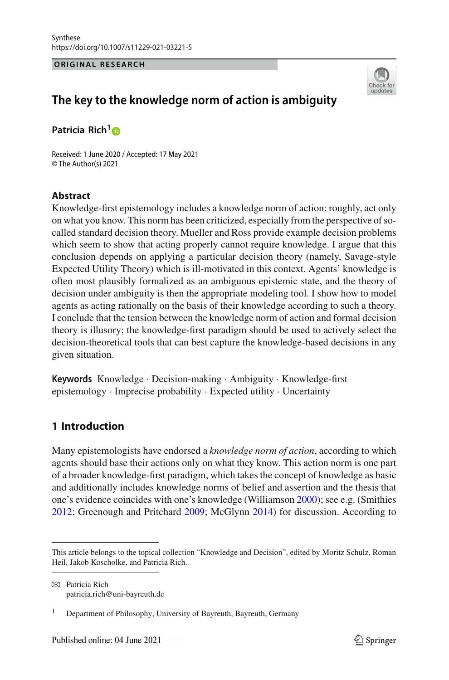#### **ORIGINAL RESEARCH**



# **The key to the knowledge norm of action is ambiguity**

**Patricia Rich[1](http://orcid.org/0000-0003-2284-6798)**

Received: 1 June 2020 / Accepted: 17 May 2021 © The Author(s) 2021

## **Abstract**

Knowledge-first epistemology includes a knowledge norm of action: roughly, act only on what you know. This norm has been criticized, especially from the perspective of socalled standard decision theory. Mueller and Ross provide example decision problems which seem to show that acting properly cannot require knowledge. I argue that this conclusion depends on applying a particular decision theory (namely, Savage-style Expected Utility Theory) which is ill-motivated in this context. Agents' knowledge is often most plausibly formalized as an ambiguous epistemic state, and the theory of decision under ambiguity is then the appropriate modeling tool. I show how to model agents as acting rationally on the basis of their knowledge according to such a theory. I conclude that the tension between the knowledge norm of action and formal decision theory is illusory; the knowledge-first paradigm should be used to actively select the decision-theoretical tools that can best capture the knowledge-based decisions in any given situation.

**Keywords** Knowledge · Decision-making · Ambiguity · Knowledge-first epistemology · Imprecise probability · Expected utility · Uncertainty

## **1 Introduction**

Many epistemologists have endorsed a *knowledge norm of action*, according to which agents should base their actions only on what they know. This action norm is one part of a broader knowledge-first paradigm, which takes the concept of knowledge as basic and additionally includes knowledge norms of belief and assertion and the thesis that one's evidence coincides with one's knowledge (Williamso[n](#page-29-0) [2000](#page-29-0)); see e.g. (Smithie[s](#page-29-1) [2012;](#page-29-1) Greenough and Pritchar[d](#page-28-0) [2009](#page-28-0); McGlyn[n](#page-28-1) [2014](#page-28-1)) for discussion. According to

This article belongs to the topical collection "Knowledge and Decision", edited by Moritz Schulz, Roman Heil, Jakob Koscholke, and Patricia Rich.

 $\boxtimes$  Patricia Rich patricia.rich@uni-bayreuth.de

<sup>&</sup>lt;sup>1</sup> Department of Philosophy, University of Bayreuth, Bayreuth, Germany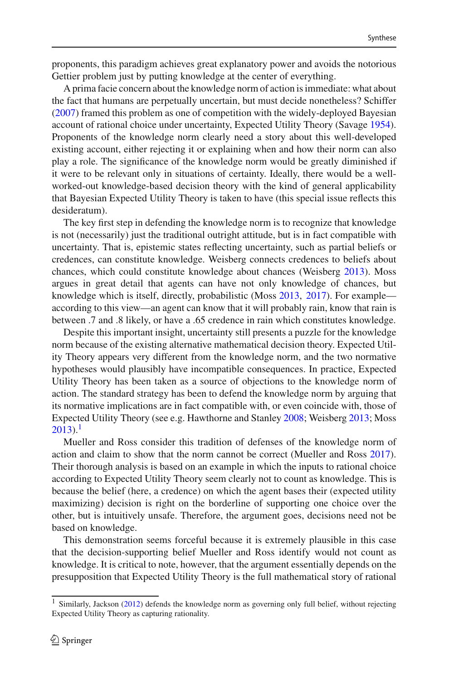proponents, this paradigm achieves great explanatory power and avoids the notorious Gettier problem just by putting knowledge at the center of everything.

A prima facie concern about the knowledge norm of action is immediate: what about the fact that humans are perpetually uncertain, but must decide nonetheless? Schiffer [\(2007\)](#page-29-2) framed this problem as one of competition with the widely-deployed Bayesian account of rational choice under uncertainty, Expected Utility Theory (Savag[e](#page-29-3) [1954](#page-29-3)). Proponents of the knowledge norm clearly need a story about this well-developed existing account, either rejecting it or explaining when and how their norm can also play a role. The significance of the knowledge norm would be greatly diminished if it were to be relevant only in situations of certainty. Ideally, there would be a wellworked-out knowledge-based decision theory with the kind of general applicability that Bayesian Expected Utility Theory is taken to have (this special issue reflects this desideratum).

The key first step in defending the knowledge norm is to recognize that knowledge is not (necessarily) just the traditional outright attitude, but is in fact compatible with uncertainty. That is, epistemic states reflecting uncertainty, such as partial beliefs or credences, can constitute knowledge. Weisberg connects credences to beliefs about chances, which could constitute knowledge about chances (Weisber[g](#page-29-4) [2013\)](#page-29-4). Moss argues in great detail that agents can have not only knowledge of chances, but knowledge which is itself, directly, probabilistic (Mos[s](#page-28-2) [2013](#page-28-2), [2017\)](#page-28-3). For example according to this view—an agent can know that it will probably rain, know that rain is between .7 and .8 likely, or have a .65 credence in rain which constitutes knowledge.

Despite this important insight, uncertainty still presents a puzzle for the knowledge norm because of the existing alternative mathematical decision theory. Expected Utility Theory appears very different from the knowledge norm, and the two normative hypotheses would plausibly have incompatible consequences. In practice, Expected Utility Theory has been taken as a source of objections to the knowledge norm of action. The standard strategy has been to defend the knowledge norm by arguing that its normative implications are in fact compatible with, or even coincide with, those of Expected Utility Theory (see e.g. Hawthorne and Stanle[y](#page-28-4) [2008;](#page-28-4) Weisber[g](#page-29-4) [2013;](#page-29-4) Mos[s](#page-28-2)  $2013$ .<sup>1</sup>

Mueller and Ross consider this tradition of defenses of the knowledge norm of action and claim to show that the norm cannot be correct (Mueller and Ros[s](#page-29-5) [2017](#page-29-5)). Their thorough analysis is based on an example in which the inputs to rational choice according to Expected Utility Theory seem clearly not to count as knowledge. This is because the belief (here, a credence) on which the agent bases their (expected utility maximizing) decision is right on the borderline of supporting one choice over the other, but is intuitively unsafe. Therefore, the argument goes, decisions need not be based on knowledge.

This demonstration seems forceful because it is extremely plausible in this case that the decision-supporting belief Mueller and Ross identify would not count as knowledge. It is critical to note, however, that the argument essentially depends on the presupposition that Expected Utility Theory is the full mathematical story of rational

<span id="page-1-0"></span><sup>&</sup>lt;sup>1</sup> Similarly, Jackso[n](#page-28-5) [\(2012](#page-28-5)) defends the knowledge norm as governing only full belief, without rejecting Expected Utility Theory as capturing rationality.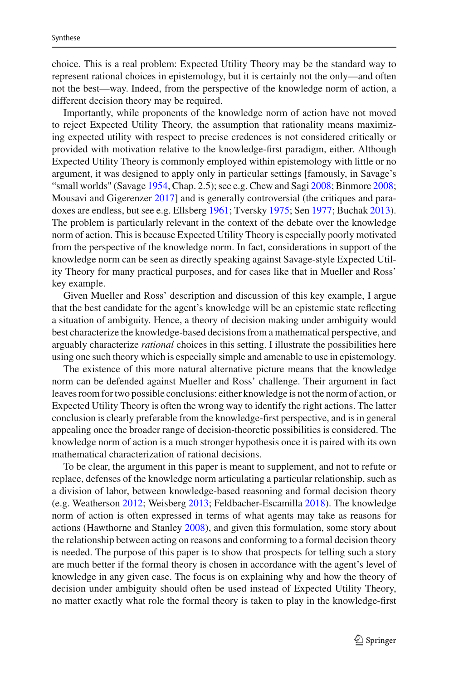choice. This is a real problem: Expected Utility Theory may be the standard way to represent rational choices in epistemology, but it is certainly not the only—and often not the best—way. Indeed, from the perspective of the knowledge norm of action, a different decision theory may be required.

Importantly, while proponents of the knowledge norm of action have not moved to reject Expected Utility Theory, the assumption that rationality means maximizing expected utility with respect to precise credences is not considered critically or provided with motivation relative to the knowledge-first paradigm, either. Although Expected Utility Theory is commonly employed within epistemology with little or no argument, it was designed to apply only in particular settings [famously, in Savage's "small worlds" (Savag[e](#page-29-3) [1954](#page-29-3), Chap. 2.5); see e.g. Chew and Sag[i](#page-28-6) [2008](#page-28-6); Binmor[e](#page-27-0) [2008](#page-27-0); Mousavi and Gigerenze[r](#page-29-6) [2017](#page-29-6)] and is generally controversial (the critiques and paradoxes are endless, but see e.g. Ellsber[g](#page-28-7) [1961](#page-28-7); Tversk[y](#page-29-7) [1975](#page-29-7); Se[n](#page-29-8) [1977](#page-29-8); Bucha[k](#page-28-8) [2013](#page-28-8)). The problem is particularly relevant in the context of the debate over the knowledge norm of action. This is because Expected Utility Theory is especially poorly motivated from the perspective of the knowledge norm. In fact, considerations in support of the knowledge norm can be seen as directly speaking against Savage-style Expected Utility Theory for many practical purposes, and for cases like that in Mueller and Ross' key example.

Given Mueller and Ross' description and discussion of this key example, I argue that the best candidate for the agent's knowledge will be an epistemic state reflecting a situation of ambiguity. Hence, a theory of decision making under ambiguity would best characterize the knowledge-based decisions from a mathematical perspective, and arguably characterize *rational* choices in this setting. I illustrate the possibilities here using one such theory which is especially simple and amenable to use in epistemology.

The existence of this more natural alternative picture means that the knowledge norm can be defended against Mueller and Ross' challenge. Their argument in fact leaves room for two possible conclusions: either knowledge is not the norm of action, or Expected Utility Theory is often the wrong way to identify the right actions. The latter conclusion is clearly preferable from the knowledge-first perspective, and is in general appealing once the broader range of decision-theoretic possibilities is considered. The knowledge norm of action is a much stronger hypothesis once it is paired with its own mathematical characterization of rational decisions.

To be clear, the argument in this paper is meant to supplement, and not to refute or replace, defenses of the knowledge norm articulating a particular relationship, such as a division of labor, between knowledge-based reasoning and formal decision theory (e.g. Weatherso[n](#page-29-9) [2012;](#page-29-9) Weisber[g](#page-29-4) [2013](#page-29-4); Feldbacher-Escamill[a](#page-28-9) [2018\)](#page-28-9). The knowledge norm of action is often expressed in terms of what agents may take as reasons for actions (Hawthorne and Stanle[y](#page-28-4) [2008\)](#page-28-4), and given this formulation, some story about the relationship between acting on reasons and conforming to a formal decision theory is needed. The purpose of this paper is to show that prospects for telling such a story are much better if the formal theory is chosen in accordance with the agent's level of knowledge in any given case. The focus is on explaining why and how the theory of decision under ambiguity should often be used instead of Expected Utility Theory, no matter exactly what role the formal theory is taken to play in the knowledge-first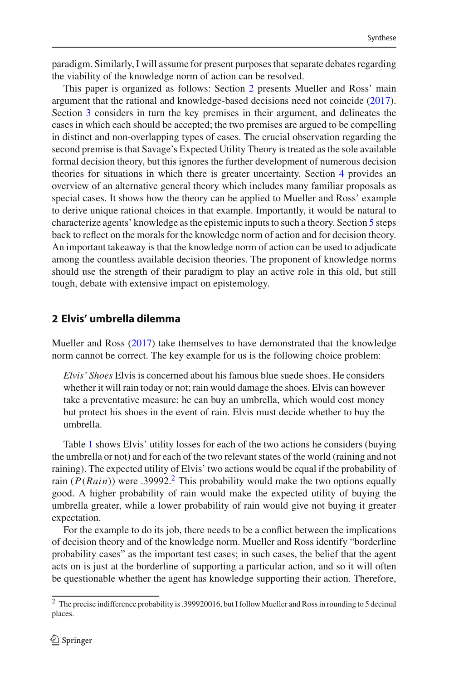paradigm. Similarly, I will assume for present purposes that separate debates regarding the viability of the knowledge norm of action can be resolved.

This paper is organized as follows: Section [2](#page-3-0) presents Mueller and Ross' main argument that the rational and knowledge-based decisions need not coincide [\(2017](#page-29-5)). Section [3](#page-5-0) considers in turn the key premises in their argument, and delineates the cases in which each should be accepted; the two premises are argued to be compelling in distinct and non-overlapping types of cases. The crucial observation regarding the second premise is that Savage's Expected Utility Theory is treated as the sole available formal decision theory, but this ignores the further development of numerous decision theories for situations in which there is greater uncertainty. Section [4](#page-16-0) provides an overview of an alternative general theory which includes many familiar proposals as special cases. It shows how the theory can be applied to Mueller and Ross' example to derive unique rational choices in that example. Importantly, it would be natural to characterize agents' knowledge as the epistemic inputs to such a theory. Section [5](#page-24-0) steps back to reflect on the morals for the knowledge norm of action and for decision theory. An important takeaway is that the knowledge norm of action can be used to adjudicate among the countless available decision theories. The proponent of knowledge norms should use the strength of their paradigm to play an active role in this old, but still tough, debate with extensive impact on epistemology.

## <span id="page-3-0"></span>**2 Elvis' umbrella dilemma**

Mueller and Ross [\(2017\)](#page-29-5) take themselves to have demonstrated that the knowledge norm cannot be correct. The key example for us is the following choice problem:

*Elvis' Shoes* Elvis is concerned about his famous blue suede shoes. He considers whether it will rain today or not; rain would damage the shoes. Elvis can however take a preventative measure: he can buy an umbrella, which would cost money but protect his shoes in the event of rain. Elvis must decide whether to buy the umbrella.

Table [1](#page-4-0) shows Elvis' utility losses for each of the two actions he considers (buying the umbrella or not) and for each of the two relevant states of the world (raining and not raining). The expected utility of Elvis' two actions would be equal if the probability of rain ( $P(Rain)$ ) were .3999[2](#page-3-1).<sup>2</sup> This probability would make the two options equally good. A higher probability of rain would make the expected utility of buying the umbrella greater, while a lower probability of rain would give not buying it greater expectation.

For the example to do its job, there needs to be a conflict between the implications of decision theory and of the knowledge norm. Mueller and Ross identify "borderline probability cases" as the important test cases; in such cases, the belief that the agent acts on is just at the borderline of supporting a particular action, and so it will often be questionable whether the agent has knowledge supporting their action. Therefore,

<span id="page-3-1"></span><sup>2</sup> The precise indifference probability is .399920016, but I follow Mueller and Ross in rounding to 5 decimal places.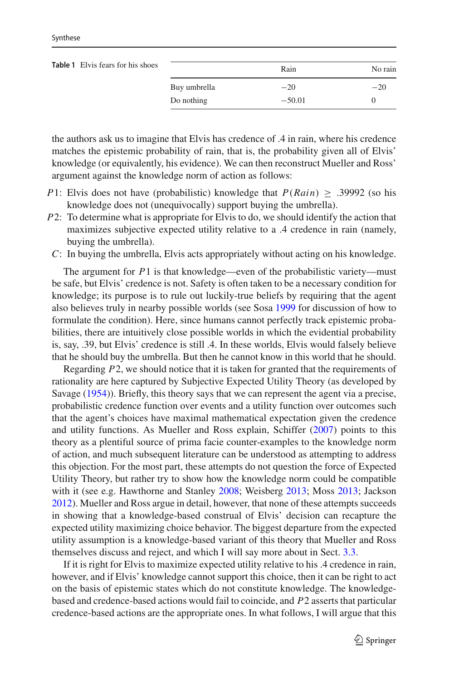<span id="page-4-0"></span>

| <b>Table 1</b> Elvis fears for his shoes |              | Rain     | No rain |
|------------------------------------------|--------------|----------|---------|
|                                          | Buy umbrella | $-20$    | $-20$   |
|                                          | Do nothing   | $-50.01$ |         |

the authors ask us to imagine that Elvis has credence of .4 in rain, where his credence matches the epistemic probability of rain, that is, the probability given all of Elvis' knowledge (or equivalently, his evidence). We can then reconstruct Mueller and Ross' argument against the knowledge norm of action as follows:

- *P*1: Elvis does not have (probabilistic) knowledge that *P*(*Rain*) ≥ .39992 (so his knowledge does not (unequivocally) support buying the umbrella).
- *P*2: To determine what is appropriate for Elvis to do, we should identify the action that maximizes subjective expected utility relative to a .4 credence in rain (namely, buying the umbrella).
- *C*: In buying the umbrella, Elvis acts appropriately without acting on his knowledge.

The argument for *P*1 is that knowledge—even of the probabilistic variety—must be safe, but Elvis' credence is not. Safety is often taken to be a necessary condition for knowledge; its purpose is to rule out luckily-true beliefs by requiring that the agent also believes truly in nearby possible worlds (see Sos[a](#page-29-10) [1999](#page-29-10) for discussion of how to formulate the condition). Here, since humans cannot perfectly track epistemic probabilities, there are intuitively close possible worlds in which the evidential probability is, say, .39, but Elvis' credence is still .4. In these worlds, Elvis would falsely believe that he should buy the umbrella. But then he cannot know in this world that he should.

Regarding *P*2, we should notice that it is taken for granted that the requirements of rationality are here captured by Subjective Expected Utility Theory (as developed by Savag[e](#page-29-3) [\(1954\)](#page-29-3)). Briefly, this theory says that we can represent the agent via a precise, probabilistic credence function over events and a utility function over outcomes such that the agent's choices have maximal mathematical expectation given the credence and utility functions. As Mueller and Ross explain, Schiffer [\(2007\)](#page-29-2) points to this theory as a plentiful source of prima facie counter-examples to the knowledge norm of action, and much subsequent literature can be understood as attempting to address this objection. For the most part, these attempts do not question the force of Expected Utility Theory, but rather try to show how the knowledge norm could be compatible with it (see e.g. Hawthorne and Stanle[y](#page-28-4) [2008](#page-28-4); Weisber[g](#page-29-4) [2013](#page-29-4); Mos[s](#page-28-2) [2013;](#page-28-2) Jackso[n](#page-28-5) [2012\)](#page-28-5). Mueller and Ross argue in detail, however, that none of these attempts succeeds in showing that a knowledge-based construal of Elvis' decision can recapture the expected utility maximizing choice behavior. The biggest departure from the expected utility assumption is a knowledge-based variant of this theory that Mueller and Ross themselves discuss and reject, and which I will say more about in Sect. [3.3.](#page-13-0)

If it is right for Elvis to maximize expected utility relative to his .4 credence in rain, however, and if Elvis' knowledge cannot support this choice, then it can be right to act on the basis of epistemic states which do not constitute knowledge. The knowledgebased and credence-based actions would fail to coincide, and *P*2 asserts that particular credence-based actions are the appropriate ones. In what follows, I will argue that this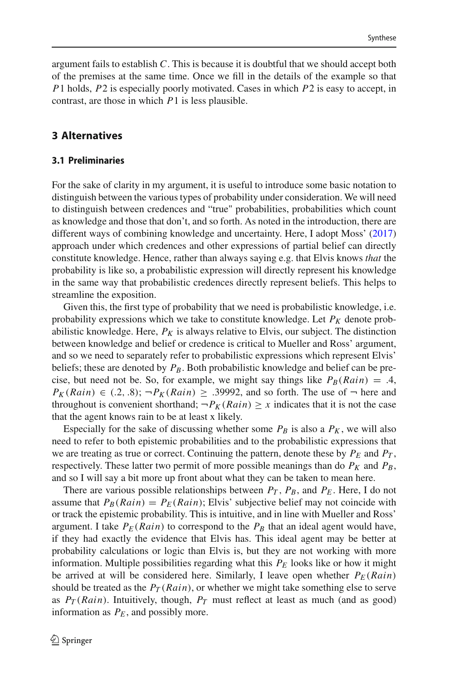argument fails to establish *C*. This is because it is doubtful that we should accept both of the premises at the same time. Once we fill in the details of the example so that *P*1 holds, *P*2 is especially poorly motivated. Cases in which *P*2 is easy to accept, in contrast, are those in which *P*1 is less plausible.

## <span id="page-5-0"></span>**3 Alternatives**

#### **3.1 Preliminaries**

For the sake of clarity in my argument, it is useful to introduce some basic notation to distinguish between the various types of probability under consideration. We will need to distinguish between credences and "true" probabilities, probabilities which count as knowledge and those that don't, and so forth. As noted in the introduction, there are different ways of combining knowledge and uncertainty. Here, I adopt Moss' [\(2017\)](#page-28-3) approach under which credences and other expressions of partial belief can directly constitute knowledge. Hence, rather than always saying e.g. that Elvis knows *that* the probability is like so, a probabilistic expression will directly represent his knowledge in the same way that probabilistic credences directly represent beliefs. This helps to streamline the exposition.

Given this, the first type of probability that we need is probabilistic knowledge, i.e. probability expressions which we take to constitute knowledge. Let  $P_K$  denote probabilistic knowledge. Here,  $P_K$  is always relative to Elvis, our subject. The distinction between knowledge and belief or credence is critical to Mueller and Ross' argument, and so we need to separately refer to probabilistic expressions which represent Elvis' beliefs; these are denoted by  $P_B$ . Both probabilistic knowledge and belief can be precise, but need not be. So, for example, we might say things like  $P_B(Rain) = .4$ ,  $P_K(Rain) \in (.2, .8); \neg P_K(Rain) \ge .39992$ , and so forth. The use of  $\neg$  here and throughout is convenient shorthand;  $\neg P_K(Rain) \geq x$  indicates that it is not the case that the agent knows rain to be at least x likely.

Especially for the sake of discussing whether some  $P_B$  is also a  $P_K$ , we will also need to refer to both epistemic probabilities and to the probabilistic expressions that we are treating as true or correct. Continuing the pattern, denote these by  $P_E$  and  $P_T$ , respectively. These latter two permit of more possible meanings than do  $P_K$  and  $P_B$ , and so I will say a bit more up front about what they can be taken to mean here.

There are various possible relationships between  $P_T$ ,  $P_B$ , and  $P_E$ . Here, I do not assume that  $P_B(Rain) = P_E(Rain)$ ; Elvis' subjective belief may not coincide with or track the epistemic probability. This is intuitive, and in line with Mueller and Ross' argument. I take  $P_E(Rain)$  to correspond to the  $P_B$  that an ideal agent would have, if they had exactly the evidence that Elvis has. This ideal agent may be better at probability calculations or logic than Elvis is, but they are not working with more information. Multiple possibilities regarding what this  $P_E$  looks like or how it might be arrived at will be considered here. Similarly, I leave open whether  $P_E(Rain)$ should be treated as the  $P_T(Rain)$ , or whether we might take something else to serve as  $P_T(Rain)$ . Intuitively, though,  $P_T$  must reflect at least as much (and as good) information as  $P_E$ , and possibly more.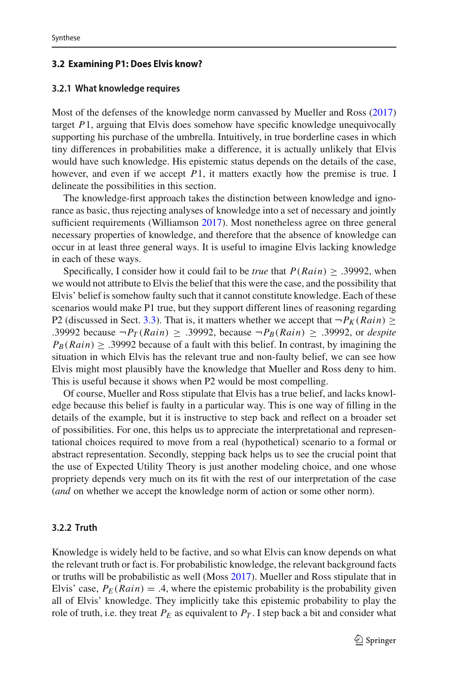### **3.2 Examining P1: Does Elvis know?**

### **3.2.1 What knowledge requires**

Most of the defenses of the knowledge norm canvassed by Mueller and Ross [\(2017\)](#page-29-5) target *P*1, arguing that Elvis does somehow have specific knowledge unequivocally supporting his purchase of the umbrella. Intuitively, in true borderline cases in which tiny differences in probabilities make a difference, it is actually unlikely that Elvis would have such knowledge. His epistemic status depends on the details of the case, however, and even if we accept *P*1, it matters exactly how the premise is true. I delineate the possibilities in this section.

The knowledge-first approach takes the distinction between knowledge and ignorance as basic, thus rejecting analyses of knowledge into a set of necessary and jointly sufficient requirements (Williamso[n](#page-29-11) [2017](#page-29-11)). Most nonetheless agree on three general necessary properties of knowledge, and therefore that the absence of knowledge can occur in at least three general ways. It is useful to imagine Elvis lacking knowledge in each of these ways.

Specifically, I consider how it could fail to be *true* that  $P(Rain) \geq .39992$ , when we would not attribute to Elvis the belief that this were the case, and the possibility that Elvis' belief is somehow faulty such that it cannot constitute knowledge. Each of these scenarios would make P1 true, but they support different lines of reasoning regarding P2 (discussed in Sect. [3.3\)](#page-13-0). That is, it matters whether we accept that  $\neg P_K(Rain) \ge$ .39992 because  $\neg P_T(Rain) \geq .39992$ , because  $\neg P_B(Rain) \geq .39992$ , or *despite*  $P_B(Rain) \geq .39992$  because of a fault with this belief. In contrast, by imagining the situation in which Elvis has the relevant true and non-faulty belief, we can see how Elvis might most plausibly have the knowledge that Mueller and Ross deny to him. This is useful because it shows when P2 would be most compelling.

Of course, Mueller and Ross stipulate that Elvis has a true belief, and lacks knowledge because this belief is faulty in a particular way. This is one way of filling in the details of the example, but it is instructive to step back and reflect on a broader set of possibilities. For one, this helps us to appreciate the interpretational and representational choices required to move from a real (hypothetical) scenario to a formal or abstract representation. Secondly, stepping back helps us to see the crucial point that the use of Expected Utility Theory is just another modeling choice, and one whose propriety depends very much on its fit with the rest of our interpretation of the case (*and* on whether we accept the knowledge norm of action or some other norm).

### <span id="page-6-0"></span>**3.2.2 Truth**

Knowledge is widely held to be factive, and so what Elvis can know depends on what the relevant truth or fact is. For probabilistic knowledge, the relevant background facts or truths will be probabilistic as well (Mos[s](#page-28-3) [2017](#page-28-3)). Mueller and Ross stipulate that in Elvis' case,  $P_E(Rain) = .4$ , where the epistemic probability is the probability given all of Elvis' knowledge. They implicitly take this epistemic probability to play the role of truth, i.e. they treat  $P_E$  as equivalent to  $P_T$ . I step back a bit and consider what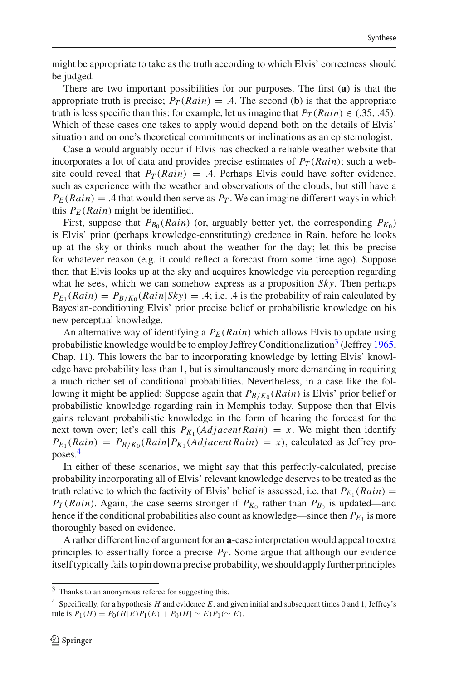might be appropriate to take as the truth according to which Elvis' correctness should be judged.

There are two important possibilities for our purposes. The first (**a**) is that the appropriate truth is precise;  $P_T(Rain) = .4$ . The second (**b**) is that the appropriate truth is less specific than this; for example, let us imagine that  $P_T(Rain) \in (.35, .45)$ . Which of these cases one takes to apply would depend both on the details of Elvis' situation and on one's theoretical commitments or inclinations as an epistemologist.

Case **a** would arguably occur if Elvis has checked a reliable weather website that incorporates a lot of data and provides precise estimates of  $P_T(Rain)$ ; such a website could reveal that  $P_T(Rain) = .4$ . Perhaps Elvis could have softer evidence, such as experience with the weather and observations of the clouds, but still have a  $P_F(Rain) = .4$  that would then serve as  $P_T$ . We can imagine different ways in which this  $P_E(Rain)$  might be identified.

First, suppose that  $P_{B_0}(Rain)$  (or, arguably better yet, the corresponding  $P_{K_0}$ ) is Elvis' prior (perhaps knowledge-constituting) credence in Rain, before he looks up at the sky or thinks much about the weather for the day; let this be precise for whatever reason (e.g. it could reflect a forecast from some time ago). Suppose then that Elvis looks up at the sky and acquires knowledge via perception regarding what he sees, which we can somehow express as a proposition *Sky*. Then perhaps  $P_{E_1}(Rain) = P_{B/K_0}(Rain|Sky) = .4$ ; i.e. .4 is the probability of rain calculated by Bayesian-conditioning Elvis' prior precise belief or probabilistic knowledge on his new perceptual knowledge.

An alternative way of identifying a  $P_E(Rain)$  which allows Elvis to update using probabilistic knowledge would be to emplo[y](#page-28-10) Jeffrey Conditionalization<sup>3</sup> (Jeffrey [1965,](#page-28-10) Chap. 11). This lowers the bar to incorporating knowledge by letting Elvis' knowledge have probability less than 1, but is simultaneously more demanding in requiring a much richer set of conditional probabilities. Nevertheless, in a case like the following it might be applied: Suppose again that  $P_{B/K_0}(Rain)$  is Elvis' prior belief or probabilistic knowledge regarding rain in Memphis today. Suppose then that Elvis gains relevant probabilistic knowledge in the form of hearing the forecast for the next town over; let's call this  $P_{K_1}(Adjacent Rain) = x$ . We might then identify  $P_{E_1}(Rain) = P_{B/K_0}(Rain | P_{K_1}(Adjacent Rain) = x)$ , calculated as Jeffrey proposes.[4](#page-7-1)

In either of these scenarios, we might say that this perfectly-calculated, precise probability incorporating all of Elvis' relevant knowledge deserves to be treated as the truth relative to which the factivity of Elvis' belief is assessed, i.e. that  $P_{E_1}(Rain) =$ *PT* (*Rain*). Again, the case seems stronger if  $P_{K_0}$  rather than  $P_{B_0}$  is updated—and hence if the conditional probabilities also count as knowledge—since then  $P_{E_1}$  is more thoroughly based on evidence.

A rather different line of argument for an **a**-case interpretation would appeal to extra principles to essentially force a precise  $P_T$ . Some argue that although our evidence itself typically fails to pin down a precise probability, we should apply further principles

<span id="page-7-0"></span><sup>&</sup>lt;sup>3</sup> Thanks to an anonymous referee for suggesting this.

<span id="page-7-1"></span><sup>4</sup> Specifically, for a hypothesis *H* and evidence *E*, and given initial and subsequent times 0 and 1, Jeffrey's rule is  $P_1(H) = P_0(H|E)P_1(E) + P_0(H| \sim E)P_1(\sim E)$ .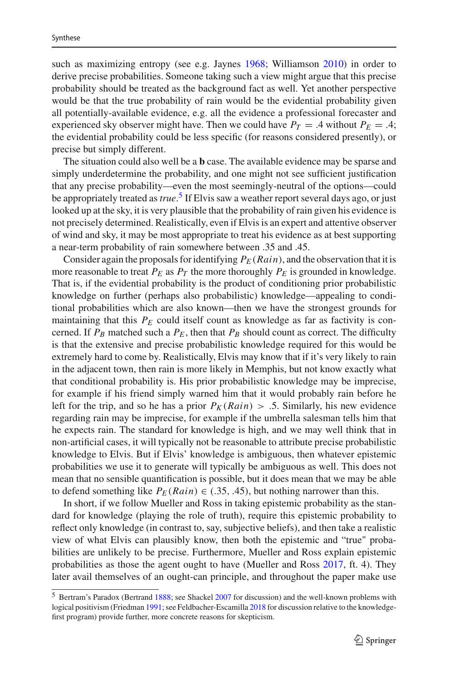such as maximizing entropy (see e.g. Jayne[s](#page-28-11) [1968;](#page-28-11) Williamso[n](#page-29-12) [2010](#page-29-12)) in order to derive precise probabilities. Someone taking such a view might argue that this precise probability should be treated as the background fact as well. Yet another perspective would be that the true probability of rain would be the evidential probability given all potentially-available evidence, e.g. all the evidence a professional forecaster and experienced sky observer might have. Then we could have  $P_T = .4$  without  $P_E = .4$ ; the evidential probability could be less specific (for reasons considered presently), or precise but simply different.

The situation could also well be a **b** case. The available evidence may be sparse and simply underdetermine the probability, and one might not see sufficient justification that any precise probability—even the most seemingly-neutral of the options—could be appropriately treated as*true*. [5](#page-8-0) If Elvis saw a weather report several days ago, or just looked up at the sky, it is very plausible that the probability of rain given his evidence is not precisely determined. Realistically, even if Elvis is an expert and attentive observer of wind and sky, it may be most appropriate to treat his evidence as at best supporting a near-term probability of rain somewhere between .35 and .45.

Consider again the proposals for identifying  $P_E(Rain)$ , and the observation that it is more reasonable to treat  $P_E$  as  $P_T$  the more thoroughly  $P_E$  is grounded in knowledge. That is, if the evidential probability is the product of conditioning prior probabilistic knowledge on further (perhaps also probabilistic) knowledge—appealing to conditional probabilities which are also known—then we have the strongest grounds for maintaining that this  $P_E$  could itself count as knowledge as far as factivity is concerned. If  $P_B$  matched such a  $P_E$ , then that  $P_B$  should count as correct. The difficulty is that the extensive and precise probabilistic knowledge required for this would be extremely hard to come by. Realistically, Elvis may know that if it's very likely to rain in the adjacent town, then rain is more likely in Memphis, but not know exactly what that conditional probability is. His prior probabilistic knowledge may be imprecise, for example if his friend simply warned him that it would probably rain before he left for the trip, and so he has a prior  $P_K(Rain) > .5$ . Similarly, his new evidence regarding rain may be imprecise, for example if the umbrella salesman tells him that he expects rain. The standard for knowledge is high, and we may well think that in non-artificial cases, it will typically not be reasonable to attribute precise probabilistic knowledge to Elvis. But if Elvis' knowledge is ambiguous, then whatever epistemic probabilities we use it to generate will typically be ambiguous as well. This does not mean that no sensible quantification is possible, but it does mean that we may be able to defend something like  $P_E(Rain) \in (.35, .45)$ , but nothing narrower than this.

In short, if we follow Mueller and Ross in taking epistemic probability as the standard for knowledge (playing the role of truth), require this epistemic probability to reflect only knowledge (in contrast to, say, subjective beliefs), and then take a realistic view of what Elvis can plausibly know, then both the epistemic and "true" probabilities are unlikely to be precise. Furthermore, Mueller and Ross explain epistemic probabilities as those the agent ought to have (Mueller and Ros[s](#page-29-5) [2017](#page-29-5), ft. 4). They later avail themselves of an ought-can principle, and throughout the paper make use

<span id="page-8-0"></span><sup>5</sup> Bertram's Paradox (Bertran[d](#page-27-1) [1888](#page-27-1); see Shacke[l](#page-29-13) [2007](#page-29-13) for discussion) and the well-known problems with logical positivism (Friedma[n](#page-28-12) [1991;](#page-28-12) see Feldb[a](#page-28-9)cher-Escamilla [2018](#page-28-9) for discussion relative to the knowledgefirst program) provide further, more concrete reasons for skepticism.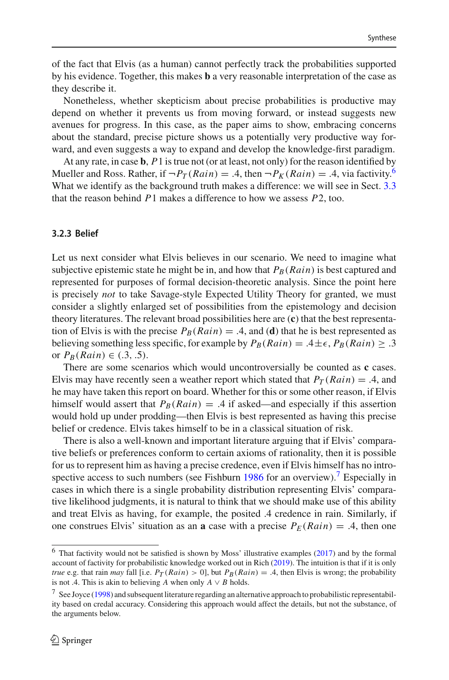of the fact that Elvis (as a human) cannot perfectly track the probabilities supported by his evidence. Together, this makes **b** a very reasonable interpretation of the case as they describe it.

Nonetheless, whether skepticism about precise probabilities is productive may depend on whether it prevents us from moving forward, or instead suggests new avenues for progress. In this case, as the paper aims to show, embracing concerns about the standard, precise picture shows us a potentially very productive way forward, and even suggests a way to expand and develop the knowledge-first paradigm.

At any rate, in case **b**, *P*1 is true not (or at least, not only) for the reason identified by Mueller and Ross. Rather, if  $\neg P_T(Rain) = .4$ , then  $\neg P_K(Rain) = .4$ , via factivity.<sup>6</sup> What we identify as the background truth makes a difference: we will see in Sect. [3.3](#page-13-0) that the reason behind *P*1 makes a difference to how we assess *P*2, too.

### **3.2.3 Belief**

Let us next consider what Elvis believes in our scenario. We need to imagine what subjective epistemic state he might be in, and how that  $P_B(Rain)$  is best captured and represented for purposes of formal decision-theoretic analysis. Since the point here is precisely *not* to take Savage-style Expected Utility Theory for granted, we must consider a slightly enlarged set of possibilities from the epistemology and decision theory literatures. The relevant broad possibilities here are (**c**) that the best representation of Elvis is with the precise  $P_B(Rain) = .4$ , and (**d**) that he is best represented as believing something less specific, for example by  $P_B(Rain) = .4 \pm \epsilon$ ,  $P_B(Rain) \ge .3$ or  $P_B(Rain) \in (.3, .5)$ .

There are some scenarios which would uncontroversially be counted as **c** cases. Elvis may have recently seen a weather report which stated that  $P_T(Rain) = .4$ , and he may have taken this report on board. Whether for this or some other reason, if Elvis himself would assert that  $P_B(Rain) = .4$  if asked—and especially if this assertion would hold up under prodding—then Elvis is best represented as having this precise belief or credence. Elvis takes himself to be in a classical situation of risk.

There is also a well-known and important literature arguing that if Elvis' comparative beliefs or preferences conform to certain axioms of rationality, then it is possible for us to represent him as having a precise credence, even if Elvis himself has no introspective access to such [n](#page-28-13)umbers (see Fishburn  $1986$  for an overview).<sup>7</sup> Especially in cases in which there is a single probability distribution representing Elvis' comparative likelihood judgments, it is natural to think that we should make use of this ability and treat Elvis as having, for example, the posited .4 credence in rain. Similarly, if one construes Elvis' situation as an **a** case with a precise  $P_E(Rain) = .4$ , then one

<span id="page-9-0"></span> $6$  That factivity would not be satisfied is shown by Moss' illustrative examples [\(2017\)](#page-28-3) and by the formal account of factivity for probabilistic knowledge worked out in Ric[h](#page-29-14) [\(2019\)](#page-29-14). The intuition is that if it is only *true* e.g. that rain *may* fall [i.e.  $P_T(Rain) > 0$ ], but  $P_B(Rain) = .4$ , then Elvis is wrong; the probability is not .4. This is akin to believing *A* when only  $A \vee B$  holds.

<span id="page-9-1"></span> $7$  S[e](#page-28-14)e Joyce [\(1998](#page-28-14)) and subsequent literature regarding an alternative approach to probabilistic representability based on credal accuracy. Considering this approach would affect the details, but not the substance, of the arguments below.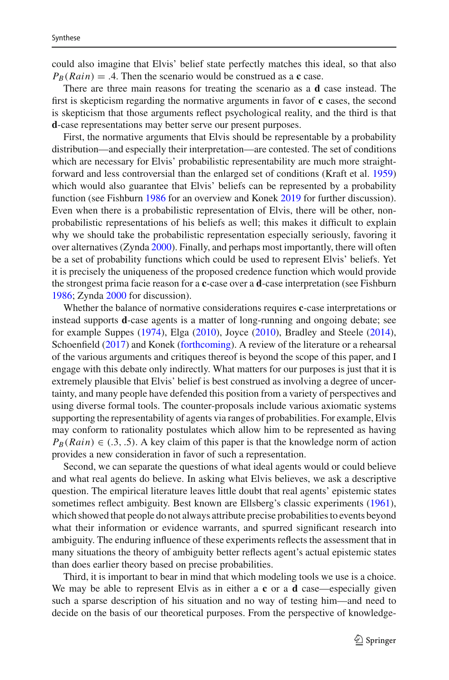could also imagine that Elvis' belief state perfectly matches this ideal, so that also  $P_B(Rain) = .4$ . Then the scenario would be construed as a **c** case.

There are three main reasons for treating the scenario as a **d** case instead. The first is skepticism regarding the normative arguments in favor of **c** cases, the second is skepticism that those arguments reflect psychological reality, and the third is that **d**-case representations may better serve our present purposes.

First, the normative arguments that Elvis should be representable by a probability distribution—and especially their interpretation—are contested. The set of conditions which are necessary for Elvis' probabilistic representability are much more straightforward and less controversial than the enlarged set of conditions (Kraft et al[.](#page-28-15) [1959\)](#page-28-15) which would also guarantee that Elvis' beliefs can be represented by a probability function (see Fishbur[n](#page-28-13) [1986](#page-28-13) for an overview and Kone[k](#page-28-16) [2019](#page-28-16) for further discussion). Even when there is a probabilistic representation of Elvis, there will be other, nonprobabilistic representations of his beliefs as well; this makes it difficult to explain why we should take the probabilistic representation especially seriously, favoring it over alternatives (Zynd[a](#page-29-15) [2000](#page-29-15)). Finally, and perhaps most importantly, there will often be a set of probability functions which could be used to represent Elvis' beliefs. Yet it is precisely the uniqueness of the proposed credence function which would provide the strongest prima facie reason for a **c**-case over a **d**-case interpretation (see Fishbur[n](#page-28-13) [1986;](#page-28-13) Zynd[a](#page-29-15) [2000](#page-29-15) for discussion).

Whether the balance of normative considerations requires **c**-case interpretations or instead supports **d**-case agents is a matter of long-running and ongoing debate; see for example Suppe[s](#page-29-16) [\(1974\)](#page-29-16), Elg[a](#page-28-17) [\(2010\)](#page-28-17), Joyc[e](#page-28-18) [\(2010\)](#page-28-18), Bradley and Steel[e](#page-28-19) [\(2014](#page-28-19)), Schoenfiel[d](#page-29-17) [\(2017](#page-29-17)) and Kone[k](#page-28-20) [\(forthcoming](#page-28-20)). A review of the literature or a rehearsal of the various arguments and critiques thereof is beyond the scope of this paper, and I engage with this debate only indirectly. What matters for our purposes is just that it is extremely plausible that Elvis' belief is best construed as involving a degree of uncertainty, and many people have defended this position from a variety of perspectives and using diverse formal tools. The counter-proposals include various axiomatic systems supporting the representability of agents via ranges of probabilities. For example, Elvis may conform to rationality postulates which allow him to be represented as having  $P_B(Rain) \in (.3, .5)$ . A key claim of this paper is that the knowledge norm of action provides a new consideration in favor of such a representation.

Second, we can separate the questions of what ideal agents would or could believe and what real agents do believe. In asking what Elvis believes, we ask a descriptive question. The empirical literature leaves little doubt that real agents' epistemic states sometimes reflect ambiguity. Best known are Ellsberg's classic experiments [\(1961](#page-28-7)), which showed that people do not always attribute precise probabilities to events beyond what their information or evidence warrants, and spurred significant research into ambiguity. The enduring influence of these experiments reflects the assessment that in many situations the theory of ambiguity better reflects agent's actual epistemic states than does earlier theory based on precise probabilities.

Third, it is important to bear in mind that which modeling tools we use is a choice. We may be able to represent Elvis as in either a **c** or a **d** case—especially given such a sparse description of his situation and no way of testing him—and need to decide on the basis of our theoretical purposes. From the perspective of knowledge-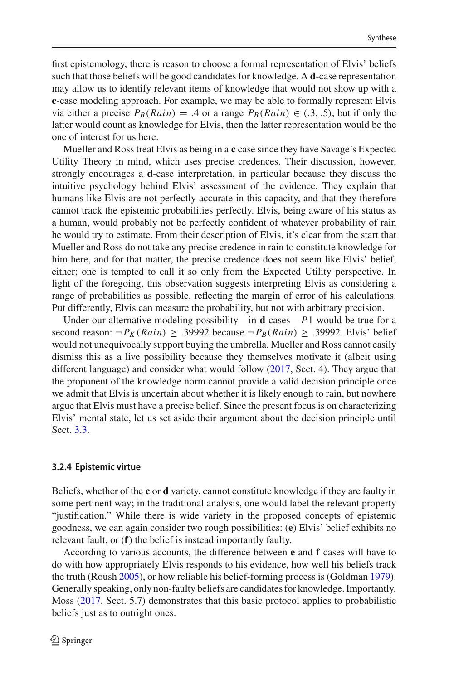first epistemology, there is reason to choose a formal representation of Elvis' beliefs such that those beliefs will be good candidates for knowledge. A **d**-case representation may allow us to identify relevant items of knowledge that would not show up with a **c**-case modeling approach. For example, we may be able to formally represent Elvis via either a precise  $P_B(Rain) = .4$  or a range  $P_B(Rain) \in (.3, .5)$ , but if only the latter would count as knowledge for Elvis, then the latter representation would be the one of interest for us here.

Mueller and Ross treat Elvis as being in a **c** case since they have Savage's Expected Utility Theory in mind, which uses precise credences. Their discussion, however, strongly encourages a **d**-case interpretation, in particular because they discuss the intuitive psychology behind Elvis' assessment of the evidence. They explain that humans like Elvis are not perfectly accurate in this capacity, and that they therefore cannot track the epistemic probabilities perfectly. Elvis, being aware of his status as a human, would probably not be perfectly confident of whatever probability of rain he would try to estimate. From their description of Elvis, it's clear from the start that Mueller and Ross do not take any precise credence in rain to constitute knowledge for him here, and for that matter, the precise credence does not seem like Elvis' belief, either; one is tempted to call it so only from the Expected Utility perspective. In light of the foregoing, this observation suggests interpreting Elvis as considering a range of probabilities as possible, reflecting the margin of error of his calculations. Put differently, Elvis can measure the probability, but not with arbitrary precision.

Under our alternative modeling possibility—in **d** cases—*P*1 would be true for a second reason:  $\neg P_K(Rain) \geq .39992$  because  $\neg P_B(Rain) \geq .39992$ . Elvis' belief would not unequivocally support buying the umbrella. Mueller and Ross cannot easily dismiss this as a live possibility because they themselves motivate it (albeit using different language) and consider what would follow [\(2017](#page-29-5), Sect. 4). They argue that the proponent of the knowledge norm cannot provide a valid decision principle once we admit that Elvis is uncertain about whether it is likely enough to rain, but nowhere argue that Elvis must have a precise belief. Since the present focus is on characterizing Elvis' mental state, let us set aside their argument about the decision principle until Sect. [3.3.](#page-13-0)

### **3.2.4 Epistemic virtue**

Beliefs, whether of the **c** or **d** variety, cannot constitute knowledge if they are faulty in some pertinent way; in the traditional analysis, one would label the relevant property "justification." While there is wide variety in the proposed concepts of epistemic goodness, we can again consider two rough possibilities: (**e**) Elvis' belief exhibits no relevant fault, or (**f**) the belief is instead importantly faulty.

According to various accounts, the difference between **e** and **f** cases will have to do with how appropriately Elvis responds to his evidence, how well his beliefs track the truth (Rous[h](#page-29-18) [2005\)](#page-29-18), or how reliable his belief-forming process is (Goldma[n](#page-28-21) [1979](#page-28-21)). Generally speaking, only non-faulty beliefs are candidates for knowledge. Importantly, Moss [\(2017,](#page-28-3) Sect. 5.7) demonstrates that this basic protocol applies to probabilistic beliefs just as to outright ones.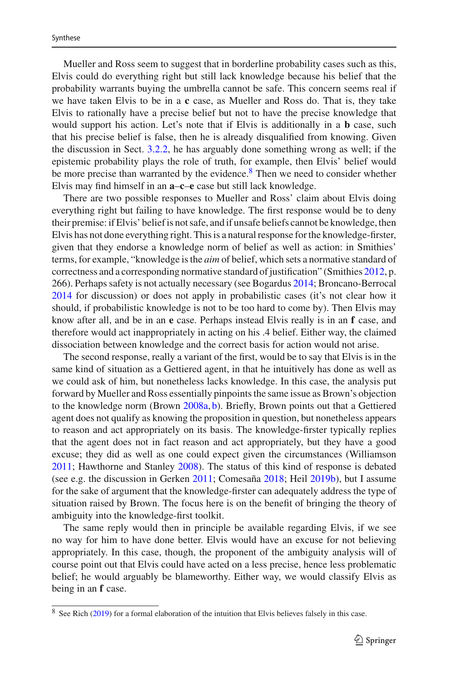Mueller and Ross seem to suggest that in borderline probability cases such as this, Elvis could do everything right but still lack knowledge because his belief that the probability warrants buying the umbrella cannot be safe. This concern seems real if we have taken Elvis to be in a **c** case, as Mueller and Ross do. That is, they take Elvis to rationally have a precise belief but not to have the precise knowledge that would support his action. Let's note that if Elvis is additionally in a **b** case, such that his precise belief is false, then he is already disqualified from knowing. Given the discussion in Sect. [3.2.2,](#page-6-0) he has arguably done something wrong as well; if the epistemic probability plays the role of truth, for example, then Elvis' belief would be more precise than warranted by the evidence.<sup>[8](#page-12-0)</sup> Then we need to consider whether Elvis may find himself in an **a**–**c**–**e** case but still lack knowledge.

There are two possible responses to Mueller and Ross' claim about Elvis doing everything right but failing to have knowledge. The first response would be to deny their premise: if Elvis' belief is not safe, and if unsafe beliefs cannot be knowledge, then Elvis has not done everything right. This is a natural response for the knowledge-firster, given that they endorse a knowledge norm of belief as well as action: in Smithies' terms, for example, "knowledge is the *aim* of belief, which sets a normative standard of correctness and a corresponding normative standard of justification" (Smithie[s](#page-29-1) [2012](#page-29-1), p. 266). Perhaps safety is not actually necessary (see Bogardu[s](#page-27-2) [2014](#page-27-2); Broncano-Berroca[l](#page-28-22) [2014](#page-28-22) for discussion) or does not apply in probabilistic cases (it's not clear how it should, if probabilistic knowledge is not to be too hard to come by). Then Elvis may know after all, and be in an **e** case. Perhaps instead Elvis really is in an **f** case, and therefore would act inappropriately in acting on his .4 belief. Either way, the claimed dissociation between knowledge and the correct basis for action would not arise.

The second response, really a variant of the first, would be to say that Elvis is in the same kind of situation as a Gettiered agent, in that he intuitively has done as well as we could ask of him, but nonetheless lacks knowledge. In this case, the analysis put forward by Mueller and Ross essentially pinpoints the same issue as Brown's objection to the knowledge norm (Brow[n](#page-28-23) [2008a,](#page-28-23) [b\)](#page-28-24). Briefly, Brown points out that a Gettiered agent does not qualify as knowing the proposition in question, but nonetheless appears to reason and act appropriately on its basis. The knowledge-firster typically replies that the agent does not in fact reason and act appropriately, but they have a good excuse; they did as well as one could expect given the circumstances (Williamso[n](#page-29-19) [2011;](#page-29-19) Hawthorne and Stanle[y](#page-28-4) [2008](#page-28-4)). The status of this kind of response is debated (see e.g. the discussion in Gerke[n](#page-28-25) [2011](#page-28-25); Comesañ[a](#page-28-26) [2018](#page-28-26); Hei[l](#page-28-27) [2019b\)](#page-28-27), but I assume for the sake of argument that the knowledge-firster can adequately address the type of situation raised by Brown. The focus here is on the benefit of bringing the theory of ambiguity into the knowledge-first toolkit.

The same reply would then in principle be available regarding Elvis, if we see no way for him to have done better. Elvis would have an excuse for not believing appropriately. In this case, though, the proponent of the ambiguity analysis will of course point out that Elvis could have acted on a less precise, hence less problematic belief; he would arguably be blameworthy. Either way, we would classify Elvis as being in an **f** case.

<span id="page-12-0"></span><sup>&</sup>lt;sup>8</sup> See Ric[h](#page-29-14) [\(2019\)](#page-29-14) for a formal elaboration of the intuition that Elvis believes falsely in this case.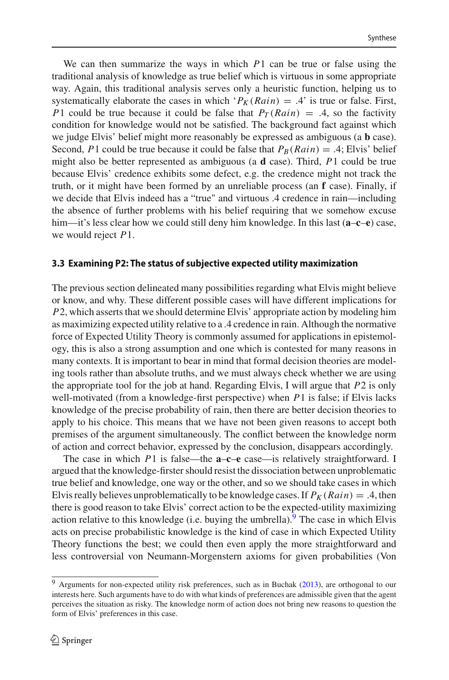We can then summarize the ways in which *P*1 can be true or false using the traditional analysis of knowledge as true belief which is virtuous in some appropriate way. Again, this traditional analysis serves only a heuristic function, helping us to systematically elaborate the cases in which ' $P_K(Rain) = .4$ ' is true or false. First, *P*1 could be true because it could be false that  $P_T(Rain) = .4$ , so the factivity condition for knowledge would not be satisfied. The background fact against which we judge Elvis' belief might more reasonably be expressed as ambiguous (a **b** case). Second, *P*1 could be true because it could be false that  $P_B(Rain) = .4$ ; Elvis' belief might also be better represented as ambiguous (a **d** case). Third, *P*1 could be true because Elvis' credence exhibits some defect, e.g. the credence might not track the truth, or it might have been formed by an unreliable process (an **f** case). Finally, if we decide that Elvis indeed has a "true" and virtuous .4 credence in rain—including the absence of further problems with his belief requiring that we somehow excuse him—it's less clear how we could still deny him knowledge. In this last (**a**–**c**–**e**) case, we would reject *P*1.

### <span id="page-13-0"></span>**3.3 Examining P2: The status of subjective expected utility maximization**

The previous section delineated many possibilities regarding what Elvis might believe or know, and why. These different possible cases will have different implications for *P*2, which asserts that we should determine Elvis' appropriate action by modeling him as maximizing expected utility relative to a .4 credence in rain. Although the normative force of Expected Utility Theory is commonly assumed for applications in epistemology, this is also a strong assumption and one which is contested for many reasons in many contexts. It is important to bear in mind that formal decision theories are modeling tools rather than absolute truths, and we must always check whether we are using the appropriate tool for the job at hand. Regarding Elvis, I will argue that *P*2 is only well-motivated (from a knowledge-first perspective) when *P*1 is false; if Elvis lacks knowledge of the precise probability of rain, then there are better decision theories to apply to his choice. This means that we have not been given reasons to accept both premises of the argument simultaneously. The conflict between the knowledge norm of action and correct behavior, expressed by the conclusion, disappears accordingly.

The case in which *P*1 is false—the **a**–**c**–**e** case—is relatively straightforward. I argued that the knowledge-firster should resist the dissociation between unproblematic true belief and knowledge, one way or the other, and so we should take cases in which Elvis really believes unproblematically to be knowledge cases. If  $P_K(Rain) = .4$ , then there is good reason to take Elvis' correct action to be the expected-utility maximizing action relative to this knowledge (i.e. buying the umbrella). <sup>9</sup> The case in which Elvis acts on precise probabilistic knowledge is the kind of case in which Expected Utility Theory functions the best; we could then even apply the more straightforward and less controversial von Neumann-Morgenstern axioms for given probabilities (Von

<span id="page-13-1"></span><sup>&</sup>lt;sup>9</sup> Arguments for non-expected utility ris[k](#page-28-8) preferences, such as in Buchak [\(2013\)](#page-28-8), are orthogonal to our interests here. Such arguments have to do with what kinds of preferences are admissible given that the agent perceives the situation as risky. The knowledge norm of action does not bring new reasons to question the form of Elvis' preferences in this case.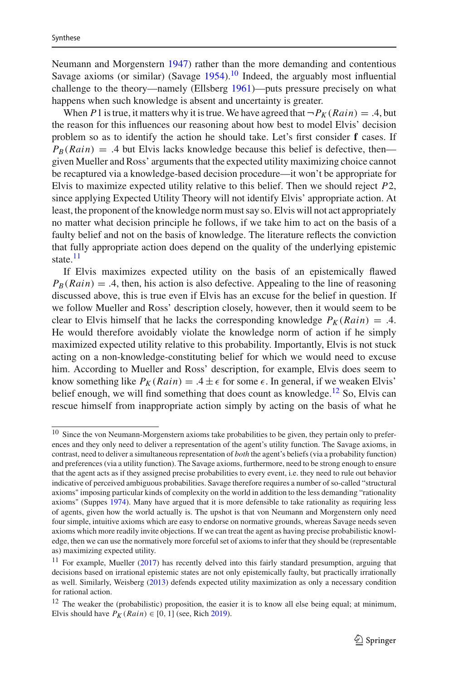Neumann and Morgenster[n](#page-29-20) [1947](#page-29-20)) rather than the more demanding and contentious Savag[e](#page-29-3) axioms (or similar) (Savage  $1954$ ).<sup>[10](#page-14-0)</sup> Indeed, the arguably most influential challen[g](#page-28-7)e to the theory—namely (Ellsberg [1961](#page-28-7))—puts pressure precisely on what happens when such knowledge is absent and uncertainty is greater.

When *P* 1 is true, it matters why it is true. We have agreed that  $\neg P_K(Rain) = .4$ , but the reason for this influences our reasoning about how best to model Elvis' decision problem so as to identify the action he should take. Let's first consider **f** cases. If  $P_B(Rain) = .4$  but Elvis lacks knowledge because this belief is defective, then given Mueller and Ross' arguments that the expected utility maximizing choice cannot be recaptured via a knowledge-based decision procedure—it won't be appropriate for Elvis to maximize expected utility relative to this belief. Then we should reject *P*2, since applying Expected Utility Theory will not identify Elvis' appropriate action. At least, the proponent of the knowledge norm must say so. Elvis will not act appropriately no matter what decision principle he follows, if we take him to act on the basis of a faulty belief and not on the basis of knowledge. The literature reflects the conviction that fully appropriate action does depend on the quality of the underlying epistemic state.<sup>[11](#page-14-1)</sup>

If Elvis maximizes expected utility on the basis of an epistemically flawed  $P_B(Rain) = .4$ , then, his action is also defective. Appealing to the line of reasoning discussed above, this is true even if Elvis has an excuse for the belief in question. If we follow Mueller and Ross' description closely, however, then it would seem to be clear to Elvis himself that he lacks the corresponding knowledge  $P_K(Rain) = .4$ . He would therefore avoidably violate the knowledge norm of action if he simply maximized expected utility relative to this probability. Importantly, Elvis is not stuck acting on a non-knowledge-constituting belief for which we would need to excuse him. According to Mueller and Ross' description, for example, Elvis does seem to know something like  $P_K(Rain) = .4 \pm \epsilon$  for some  $\epsilon$ . In general, if we weaken Elvis' belief enough, we will find something that does count as knowledge.<sup>[12](#page-14-2)</sup> So, Elvis can rescue himself from inappropriate action simply by acting on the basis of what he

<span id="page-14-0"></span><sup>&</sup>lt;sup>10</sup> Since the von Neumann-Morgenstern axioms take probabilities to be given, they pertain only to preferences and they only need to deliver a representation of the agent's utility function. The Savage axioms, in contrast, need to deliver a simultaneous representation of *both* the agent's beliefs (via a probability function) and preferences (via a utility function). The Savage axioms, furthermore, need to be strong enough to ensure that the agent acts as if they assigned precise probabilities to every event, i.e. they need to rule out behavior indicative of perceived ambiguous probabilities. Savage therefore requires a number of so-called "structural axioms" imposing particular kinds of complexity on the world in addition to the less demanding "rationality axioms" (Suppe[s](#page-29-16) [1974\)](#page-29-16). Many have argued that it is more defensible to take rationality as requiring less of agents, given how the world actually is. The upshot is that von Neumann and Morgenstern only need four simple, intuitive axioms which are easy to endorse on normative grounds, whereas Savage needs seven axioms which more readily invite objections. If we can treat the agent as having precise probabilistic knowledge, then we can use the normatively more forceful set of axioms to infer that they should be (representable as) maximizing expected utility.

<span id="page-14-1"></span> $11$  For example, Mueller [\(2017](#page-29-21)) has recently delved into this fairly standard presumption, arguing that decisions based on irrational epistemic states are not only epistemically faulty, but practically irrationally as well. Similarly, Weisber[g](#page-29-4) [\(2013](#page-29-4)) defends expected utility maximization as only a necessary condition for rational action.

<span id="page-14-2"></span> $12$  The weaker the (probabilistic) proposition, the easier it is to know all else being equal; at minimum, Elvis s[h](#page-29-14)ould have  $P_K(Rain) \in [0, 1]$  (see, Rich [2019\)](#page-29-14).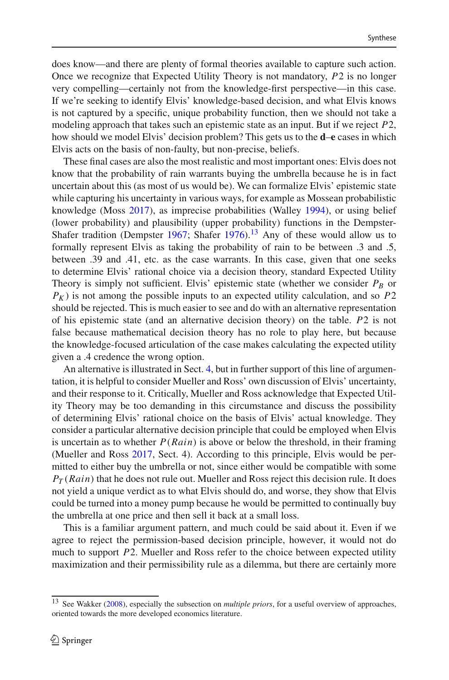does know—and there are plenty of formal theories available to capture such action. Once we recognize that Expected Utility Theory is not mandatory, *P*2 is no longer very compelling—certainly not from the knowledge-first perspective—in this case. If we're seeking to identify Elvis' knowledge-based decision, and what Elvis knows is not captured by a specific, unique probability function, then we should not take a modeling approach that takes such an epistemic state as an input. But if we reject *P*2, how should we model Elvis' decision problem? This gets us to the **d**–**e** cases in which Elvis acts on the basis of non-faulty, but non-precise, beliefs.

These final cases are also the most realistic and most important ones: Elvis does not know that the probability of rain warrants buying the umbrella because he is in fact uncertain about this (as most of us would be). We can formalize Elvis' epistemic state while capturing his uncertainty in various ways, for example as Mossean probabilistic knowledge (Mos[s](#page-28-3) [2017](#page-28-3)), as imprecise probabilities (Walle[y](#page-29-22) [1994\)](#page-29-22), or using belief (lower probability) and plausibility (upper probability) functions in the DempsterShafe[r](#page-29-23) tradition (Dempster [1967](#page-28-28); Shafer [1976](#page-29-23)).<sup>[13](#page-15-0)</sup> Any of these would allow us to formally represent Elvis as taking the probability of rain to be between .3 and .5, between .39 and .41, etc. as the case warrants. In this case, given that one seeks to determine Elvis' rational choice via a decision theory, standard Expected Utility Theory is simply not sufficient. Elvis' epistemic state (whether we consider  $P_B$  or  $P_K$ ) is not among the possible inputs to an expected utility calculation, and so  $P2$ should be rejected. This is much easier to see and do with an alternative representation of his epistemic state (and an alternative decision theory) on the table. *P*2 is not false because mathematical decision theory has no role to play here, but because the knowledge-focused articulation of the case makes calculating the expected utility given a .4 credence the wrong option.

An alternative is illustrated in Sect. [4,](#page-16-0) but in further support of this line of argumentation, it is helpful to consider Mueller and Ross' own discussion of Elvis' uncertainty, and their response to it. Critically, Mueller and Ross acknowledge that Expected Utility Theory may be too demanding in this circumstance and discuss the possibility of determining Elvis' rational choice on the basis of Elvis' actual knowledge. They consider a particular alternative decision principle that could be employed when Elvis is uncertain as to whether  $P(Rain)$  is above or below the threshold, in their framing (Mueller and Ros[s](#page-29-5) [2017](#page-29-5), Sect. 4). According to this principle, Elvis would be permitted to either buy the umbrella or not, since either would be compatible with some  $P_T(Rain)$  that he does not rule out. Mueller and Ross reject this decision rule. It does not yield a unique verdict as to what Elvis should do, and worse, they show that Elvis could be turned into a money pump because he would be permitted to continually buy the umbrella at one price and then sell it back at a small loss.

This is a familiar argument pattern, and much could be said about it. Even if we agree to reject the permission-based decision principle, however, it would not do much to support *P*2. Mueller and Ross refer to the choice between expected utility maximization and their permissibility rule as a dilemma, but there are certainly more

<span id="page-15-0"></span><sup>13</sup> See Wakke[r](#page-29-24) [\(2008](#page-29-24)), especially the subsection on *multiple priors*, for a useful overview of approaches, oriented towards the more developed economics literature.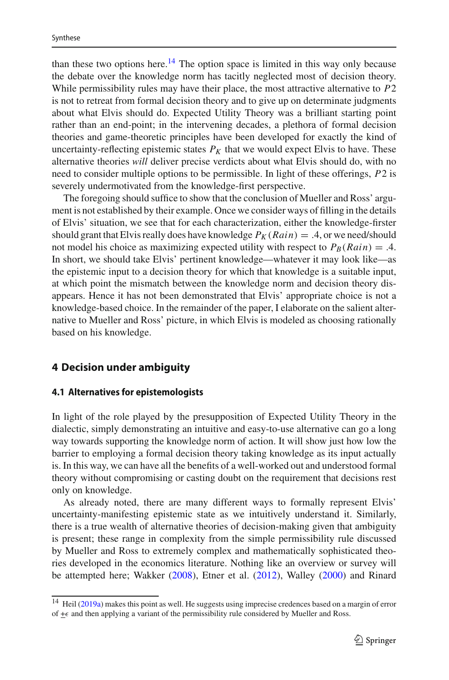than these two options here.<sup>[14](#page-16-1)</sup> The option space is limited in this way only because the debate over the knowledge norm has tacitly neglected most of decision theory. While permissibility rules may have their place, the most attractive alternative to *P*2 is not to retreat from formal decision theory and to give up on determinate judgments about what Elvis should do. Expected Utility Theory was a brilliant starting point rather than an end-point; in the intervening decades, a plethora of formal decision theories and game-theoretic principles have been developed for exactly the kind of uncertainty-reflecting epistemic states  $P_K$  that we would expect Elvis to have. These alternative theories *will* deliver precise verdicts about what Elvis should do, with no need to consider multiple options to be permissible. In light of these offerings, *P*2 is severely undermotivated from the knowledge-first perspective.

The foregoing should suffice to show that the conclusion of Mueller and Ross' argument is not established by their example. Once we consider ways of filling in the details of Elvis' situation, we see that for each characterization, either the knowledge-firster should grant that Elvis really does have knowledge  $P_K(Rain) = .4$ , or we need/should not model his choice as maximizing expected utility with respect to  $P_B(Rain) = .4$ . In short, we should take Elvis' pertinent knowledge—whatever it may look like—as the epistemic input to a decision theory for which that knowledge is a suitable input, at which point the mismatch between the knowledge norm and decision theory disappears. Hence it has not been demonstrated that Elvis' appropriate choice is not a knowledge-based choice. In the remainder of the paper, I elaborate on the salient alternative to Mueller and Ross' picture, in which Elvis is modeled as choosing rationally based on his knowledge.

### <span id="page-16-0"></span>**4 Decision under ambiguity**

#### **4.1 Alternatives for epistemologists**

In light of the role played by the presupposition of Expected Utility Theory in the dialectic, simply demonstrating an intuitive and easy-to-use alternative can go a long way towards supporting the knowledge norm of action. It will show just how low the barrier to employing a formal decision theory taking knowledge as its input actually is. In this way, we can have all the benefits of a well-worked out and understood formal theory without compromising or casting doubt on the requirement that decisions rest only on knowledge.

As already noted, there are many different ways to formally represent Elvis' uncertainty-manifesting epistemic state as we intuitively understand it. Similarly, there is a true wealth of alternative theories of decision-making given that ambiguity is present; these range in complexity from the simple permissibility rule discussed by Mueller and Ross to extremely complex and mathematically sophisticated theories developed in the economics literature. Nothing like an overview or survey will be attempted here; Wakke[r](#page-29-24) [\(2008](#page-29-24)), Etner et al[.](#page-28-29) [\(2012](#page-28-29)), Walle[y](#page-29-25) [\(2000\)](#page-29-25) and Rinar[d](#page-29-26)

<span id="page-16-1"></span><sup>14</sup> Hei[l](#page-28-30) [\(2019a\)](#page-28-30) makes this point as well. He suggests using imprecise credences based on a margin of error of  $\pm \epsilon$  and then applying a variant of the permissibility rule considered by Mueller and Ross.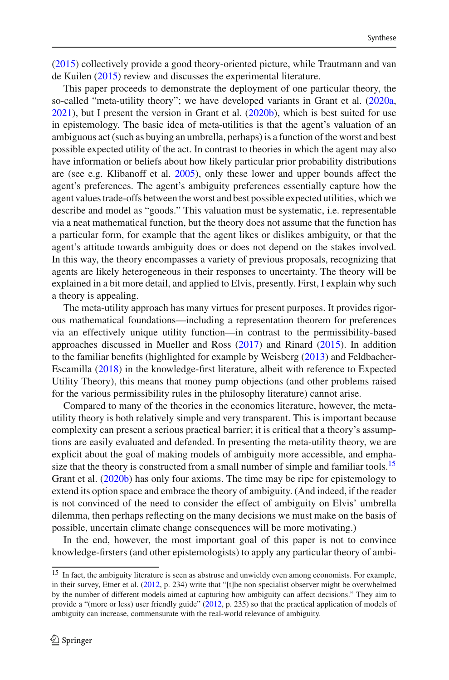[\(2015\)](#page-29-26) collectively provide a good theory-oriented picture, while Trautmann and van de Kuile[n](#page-29-27) [\(2015](#page-29-27)) review and discusses the experimental literature.

This paper proceeds to demonstrate the deployment of one particular theory, the so-called "meta-utility theory"; we have developed variants in Grant et al[.](#page-28-31) [\(2020a,](#page-28-31) [2021\)](#page-28-32), but I present the version in Grant et al[.](#page-28-33) [\(2020b](#page-28-33)), which is best suited for use in epistemology. The basic idea of meta-utilities is that the agent's valuation of an ambiguous act (such as buying an umbrella, perhaps) is a function of the worst and best possible expected utility of the act. In contrast to theories in which the agent may also have information or beliefs about how likely particular prior probability distributions are (see e.g. Klibanoff et al[.](#page-28-34) [2005](#page-28-34)), only these lower and upper bounds affect the agent's preferences. The agent's ambiguity preferences essentially capture how the agent values trade-offs between the worst and best possible expected utilities, which we describe and model as "goods." This valuation must be systematic, i.e. representable via a neat mathematical function, but the theory does not assume that the function has a particular form, for example that the agent likes or dislikes ambiguity, or that the agent's attitude towards ambiguity does or does not depend on the stakes involved. In this way, the theory encompasses a variety of previous proposals, recognizing that agents are likely heterogeneous in their responses to uncertainty. The theory will be explained in a bit more detail, and applied to Elvis, presently. First, I explain why such a theory is appealing.

The meta-utility approach has many virtues for present purposes. It provides rigorous mathematical foundations—including a representation theorem for preferences via an effectively unique utility function—in contrast to the permissibility-based approaches discussed in Mueller and Ros[s](#page-29-5) [\(2017\)](#page-29-5) and Rinar[d](#page-29-26) [\(2015](#page-29-26)). In addition to the familiar benefits (highlighted for example by Weisber[g](#page-29-4) [\(2013](#page-29-4)) and Feldbacher-Escamill[a](#page-28-9) [\(2018](#page-28-9)) in the knowledge-first literature, albeit with reference to Expected Utility Theory), this means that money pump objections (and other problems raised for the various permissibility rules in the philosophy literature) cannot arise.

Compared to many of the theories in the economics literature, however, the metautility theory is both relatively simple and very transparent. This is important because complexity can present a serious practical barrier; it is critical that a theory's assumptions are easily evaluated and defended. In presenting the meta-utility theory, we are explicit about the goal of making models of ambiguity more accessible, and emphasize that the theory is constructed from a small number of simple and familiar tools.<sup>15</sup> Grant et al[.](#page-28-33) [\(2020b](#page-28-33)) has only four axioms. The time may be ripe for epistemology to extend its option space and embrace the theory of ambiguity. (And indeed, if the reader is not convinced of the need to consider the effect of ambiguity on Elvis' umbrella dilemma, then perhaps reflecting on the many decisions we must make on the basis of possible, uncertain climate change consequences will be more motivating.)

In the end, however, the most important goal of this paper is not to convince knowledge-firsters (and other epistemologists) to apply any particular theory of ambi-

<span id="page-17-0"></span><sup>&</sup>lt;sup>15</sup> In fact, the ambiguity literature is seen as abstruse and unwieldy even among economists. For example, in their survey, Etner et al. [\(2012](#page-28-29), p. 234) write that "[t]he non specialist observer might be overwhelmed by the number of different models aimed at capturing how ambiguity can affect decisions." They aim to provide a "(more or less) user friendly guide" [\(2012](#page-28-29), p. 235) so that the practical application of models of ambiguity can increase, commensurate with the real-world relevance of ambiguity.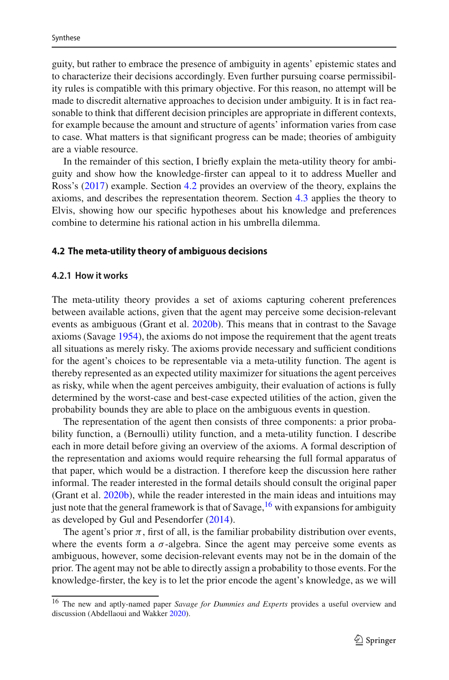guity, but rather to embrace the presence of ambiguity in agents' epistemic states and to characterize their decisions accordingly. Even further pursuing coarse permissibility rules is compatible with this primary objective. For this reason, no attempt will be made to discredit alternative approaches to decision under ambiguity. It is in fact reasonable to think that different decision principles are appropriate in different contexts, for example because the amount and structure of agents' information varies from case to case. What matters is that significant progress can be made; theories of ambiguity are a viable resource.

In the remainder of this section, I briefly explain the meta-utility theory for ambiguity and show how the knowledge-firster can appeal to it to address Mueller and Ross's [\(2017\)](#page-29-5) example. Section [4.2](#page-18-0) provides an overview of the theory, explains the axioms, and describes the representation theorem. Section [4.3](#page-20-0) applies the theory to Elvis, showing how our specific hypotheses about his knowledge and preferences combine to determine his rational action in his umbrella dilemma.

#### <span id="page-18-0"></span>**4.2 The meta-utility theory of ambiguous decisions**

#### **4.2.1 How it works**

The meta-utility theory provides a set of axioms capturing coherent preferences between available actions, given that the agent may perceive some decision-relevant events as ambiguous (Grant et al[.](#page-28-33) [2020b](#page-28-33)). This means that in contrast to the Savage axioms (Savag[e](#page-29-3) [1954](#page-29-3)), the axioms do not impose the requirement that the agent treats all situations as merely risky. The axioms provide necessary and sufficient conditions for the agent's choices to be representable via a meta-utility function. The agent is thereby represented as an expected utility maximizer for situations the agent perceives as risky, while when the agent perceives ambiguity, their evaluation of actions is fully determined by the worst-case and best-case expected utilities of the action, given the probability bounds they are able to place on the ambiguous events in question.

The representation of the agent then consists of three components: a prior probability function, a (Bernoulli) utility function, and a meta-utility function. I describe each in more detail before giving an overview of the axioms. A formal description of the representation and axioms would require rehearsing the full formal apparatus of that paper, which would be a distraction. I therefore keep the discussion here rather informal. The reader interested in the formal details should consult the original paper (Grant et al[.](#page-28-33) [2020b](#page-28-33)), while the reader interested in the main ideas and intuitions may just note that the general framework is that of Savage,  $16$  with expansions for ambiguity as developed by Gul and Pesendorfe[r](#page-28-35) [\(2014\)](#page-28-35).

The agent's prior  $\pi$ , first of all, is the familiar probability distribution over events, where the events form a  $\sigma$ -algebra. Since the agent may perceive some events as ambiguous, however, some decision-relevant events may not be in the domain of the prior. The agent may not be able to directly assign a probability to those events. For the knowledge-firster, the key is to let the prior encode the agent's knowledge, as we will

<span id="page-18-1"></span><sup>16</sup> The new and aptly-named paper *Savage for Dummies and Experts* provides a useful overview and discussion (Abdellaoui and Wakke[r](#page-27-3) [2020\)](#page-27-3).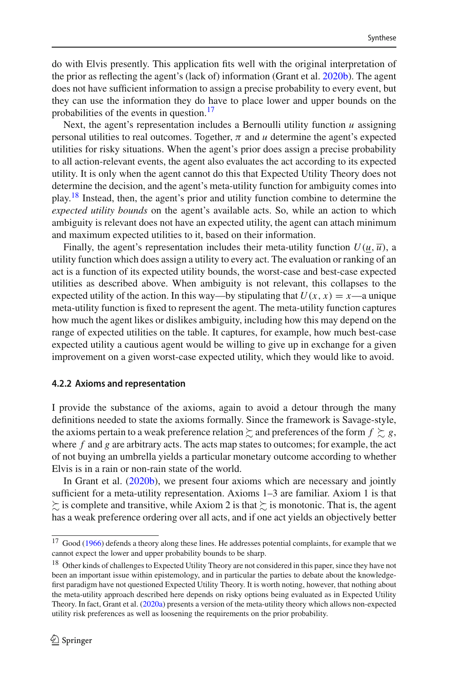do with Elvis presently. This application fits well with the original interpretation of the prior as reflecting the agent's (lack of) information (Grant et al[.](#page-28-33) [2020b\)](#page-28-33). The agent does not have sufficient information to assign a precise probability to every event, but they can use the information they do have to place lower and upper bounds on the probabilities of the events in question.<sup>[17](#page-19-0)</sup>

Next, the agent's representation includes a Bernoulli utility function *u* assigning personal utilities to real outcomes. Together,  $\pi$  and  $\mu$  determine the agent's expected utilities for risky situations. When the agent's prior does assign a precise probability to all action-relevant events, the agent also evaluates the act according to its expected utility. It is only when the agent cannot do this that Expected Utility Theory does not determine the decision, and the agent's meta-utility function for ambiguity comes into play.<sup>[18](#page-19-1)</sup> Instead, then, the agent's prior and utility function combine to determine the *expected utility bounds* on the agent's available acts. So, while an action to which ambiguity is relevant does not have an expected utility, the agent can attach minimum and maximum expected utilities to it, based on their information.

Finally, the agent's representation includes their meta-utility function  $U(u, \overline{u})$ , a utility function which does assign a utility to every act. The evaluation or ranking of an act is a function of its expected utility bounds, the worst-case and best-case expected utilities as described above. When ambiguity is not relevant, this collapses to the expected utility of the action. In this way—by stipulating that  $U(x, x) = x$ —a unique meta-utility function is fixed to represent the agent. The meta-utility function captures how much the agent likes or dislikes ambiguity, including how this may depend on the range of expected utilities on the table. It captures, for example, how much best-case expected utility a cautious agent would be willing to give up in exchange for a given improvement on a given worst-case expected utility, which they would like to avoid.

#### **4.2.2 Axioms and representation**

I provide the substance of the axioms, again to avoid a detour through the many definitions needed to state the axioms formally. Since the framework is Savage-style, the axioms pertain to a weak preference relation  $\succsim$  and preferences of the form  $f \succsim g,$ where *f* and *g* are arbitrary acts. The acts map states to outcomes; for example, the act of not buying an umbrella yields a particular monetary outcome according to whether Elvis is in a rain or non-rain state of the world.

In Grant et al[.](#page-28-33) [\(2020b](#page-28-33)), we present four axioms which are necessary and jointly sufficient for a meta-utility representation. Axioms 1–3 are familiar. Axiom 1 is that  $\succsim$  is complete and transitive, while Axiom 2 is that  $\succsim$  is monotonic. That is, the agent has a weak preference ordering over all acts, and if one act yields an objectively better

<span id="page-19-0"></span><sup>&</sup>lt;sup>17</sup> Goo[d](#page-28-36) [\(1966](#page-28-36)) defends a theory along these lines. He addresses potential complaints, for example that we cannot expect the lower and upper probability bounds to be sharp.

<span id="page-19-1"></span><sup>&</sup>lt;sup>18</sup> Other kinds of challenges to Expected Utility Theory are not considered in this paper, since they have not been an important issue within epistemology, and in particular the parties to debate about the knowledgefirst paradigm have not questioned Expected Utility Theory. It is worth noting, however, that nothing about the meta-utility approach described here depends on risky options being evaluated as in Expected Utility Theory. In fact, Grant et al[.](#page-28-31) [\(2020a](#page-28-31)) presents a version of the meta-utility theory which allows non-expected utility risk preferences as well as loosening the requirements on the prior probability.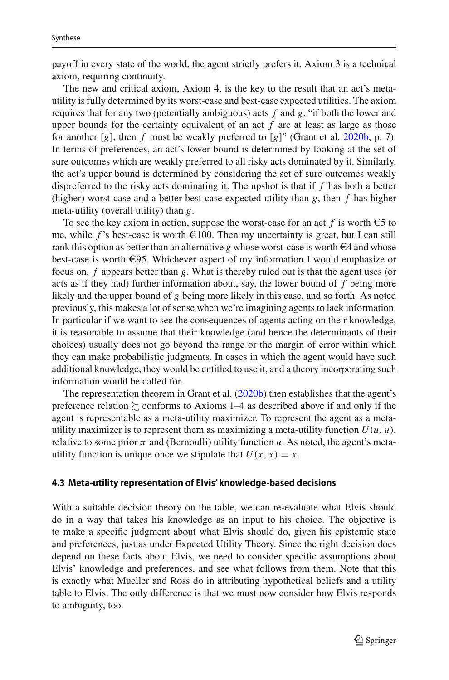payoff in every state of the world, the agent strictly prefers it. Axiom 3 is a technical axiom, requiring continuity.

The new and critical axiom, Axiom 4, is the key to the result that an act's metautility is fully determined by its worst-case and best-case expected utilities. The axiom requires that for any two (potentially ambiguous) acts *f* and *g*, "if both the lower and upper bounds for the certainty equivalent of an act  $f$  are at least as large as those for another [*g*], then *f* must be weakly preferred to [*g*]" (Grant et al[.](#page-28-33) [2020b](#page-28-33), p. 7). In terms of preferences, an act's lower bound is determined by looking at the set of sure outcomes which are weakly preferred to all risky acts dominated by it. Similarly, the act's upper bound is determined by considering the set of sure outcomes weakly dispreferred to the risky acts dominating it. The upshot is that if *f* has both a better (higher) worst-case and a better best-case expected utility than  $g$ , then  $f$  has higher meta-utility (overall utility) than *g*.

To see the key axiom in action, suppose the worst-case for an act  $f$  is worth  $\epsilon$ 5 to me, while f's best-case is worth  $\epsilon$ 100. Then my uncertainty is great, but I can still rank this option as better than an alternative *g* whose worst-case is worth  $\epsilon$ 4 and whose best-case is worth  $\epsilon$ 95. Whichever aspect of my information I would emphasize or focus on, *f* appears better than *g*. What is thereby ruled out is that the agent uses (or acts as if they had) further information about, say, the lower bound of *f* being more likely and the upper bound of *g* being more likely in this case, and so forth. As noted previously, this makes a lot of sense when we're imagining agents to lack information. In particular if we want to see the consequences of agents acting on their knowledge, it is reasonable to assume that their knowledge (and hence the determinants of their choices) usually does not go beyond the range or the margin of error within which they can make probabilistic judgments. In cases in which the agent would have such additional knowledge, they would be entitled to use it, and a theory incorporating such information would be called for.

The representation theorem in Grant et al[.](#page-28-33) [\(2020b\)](#page-28-33) then establishes that the agent's preference relation  $\succsim$  conforms to Axioms 1–4 as described above if and only if the agent is representable as a meta-utility maximizer. To represent the agent as a metautility maximizer is to represent them as maximizing a meta-utility function  $U(u, \bar{u})$ , relative to some prior  $\pi$  and (Bernoulli) utility function  $u$ . As noted, the agent's metautility function is unique once we stipulate that  $U(x, x) = x$ .

#### <span id="page-20-0"></span>**4.3 Meta-utility representation of Elvis' knowledge-based decisions**

With a suitable decision theory on the table, we can re-evaluate what Elvis should do in a way that takes his knowledge as an input to his choice. The objective is to make a specific judgment about what Elvis should do, given his epistemic state and preferences, just as under Expected Utility Theory. Since the right decision does depend on these facts about Elvis, we need to consider specific assumptions about Elvis' knowledge and preferences, and see what follows from them. Note that this is exactly what Mueller and Ross do in attributing hypothetical beliefs and a utility table to Elvis. The only difference is that we must now consider how Elvis responds to ambiguity, too.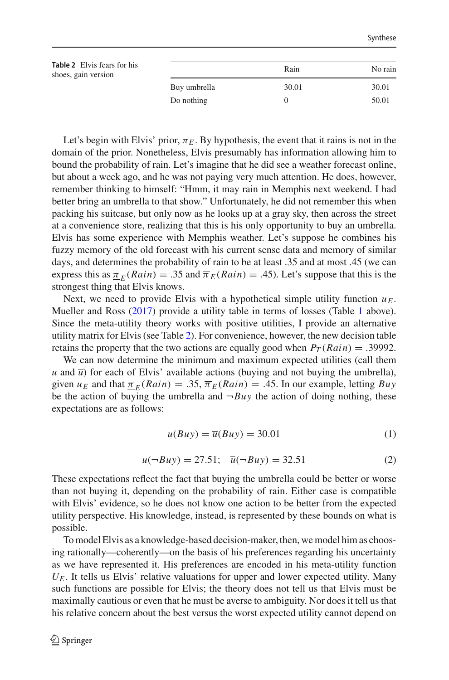<span id="page-21-0"></span>

| <b>Table 2</b> Elvis fears for his<br>shoes, gain version |              | Rain  | No rain |
|-----------------------------------------------------------|--------------|-------|---------|
|                                                           | Buy umbrella | 30.01 | 30.01   |
|                                                           | Do nothing   |       | 50.01   |

Let's begin with Elvis' prior,  $\pi_E$ . By hypothesis, the event that it rains is not in the domain of the prior. Nonetheless, Elvis presumably has information allowing him to bound the probability of rain. Let's imagine that he did see a weather forecast online, but about a week ago, and he was not paying very much attention. He does, however, remember thinking to himself: "Hmm, it may rain in Memphis next weekend. I had better bring an umbrella to that show." Unfortunately, he did not remember this when packing his suitcase, but only now as he looks up at a gray sky, then across the street at a convenience store, realizing that this is his only opportunity to buy an umbrella. Elvis has some experience with Memphis weather. Let's suppose he combines his fuzzy memory of the old forecast with his current sense data and memory of similar days, and determines the probability of rain to be at least .35 and at most .45 (we can express this as  $\pi_F(Rain) = .35$  and  $\overline{\pi}_E(Rain) = .45$ ). Let's suppose that this is the strongest thing that Elvis knows.

Next, we need to provide Elvis with a hypothetical simple utility function  $u_E$ . Mueller and Ross [\(2017](#page-29-5)) provide a utility table in terms of losses (Table [1](#page-4-0) above). Since the meta-utility theory works with positive utilities, I provide an alternative utility matrix for Elvis (see Table [2\)](#page-21-0). For convenience, however, the new decision table retains the property that the two actions are equally good when  $P_T(Rain) = .39992$ .

We can now determine the minimum and maximum expected utilities (call them  $\mu$  and  $\bar{\mu}$ ) for each of Elvis' available actions (buying and not buying the umbrella), given  $u_F$  and that  $\pi_F(Rain) = .35$ ,  $\overline{\pi}_F(Rain) = .45$ . In our example, letting *Buy* be the action of buying the umbrella and  $\neg Buy$  the action of doing nothing, these expectations are as follows:

$$
u(Buy) = \overline{u}(Buy) = 30.01\tag{1}
$$

$$
u(\neg Buy) = 27.51; \quad \overline{u}(\neg Buy) = 32.51 \tag{2}
$$

These expectations reflect the fact that buying the umbrella could be better or worse than not buying it, depending on the probability of rain. Either case is compatible with Elvis' evidence, so he does not know one action to be better from the expected utility perspective. His knowledge, instead, is represented by these bounds on what is possible.

To model Elvis as a knowledge-based decision-maker, then, we model him as choosing rationally—coherently—on the basis of his preferences regarding his uncertainty as we have represented it. His preferences are encoded in his meta-utility function  $U<sub>E</sub>$ . It tells us Elvis' relative valuations for upper and lower expected utility. Many such functions are possible for Elvis; the theory does not tell us that Elvis must be maximally cautious or even that he must be averse to ambiguity. Nor does it tell us that his relative concern about the best versus the worst expected utility cannot depend on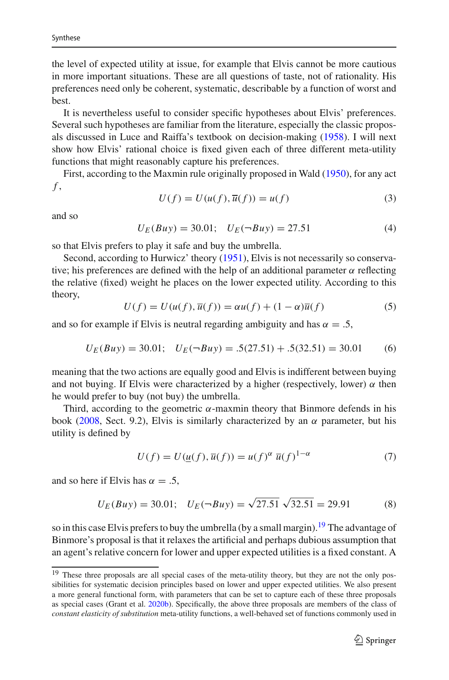the level of expected utility at issue, for example that Elvis cannot be more cautious in more important situations. These are all questions of taste, not of rationality. His preferences need only be coherent, systematic, describable by a function of worst and best.

It is nevertheless useful to consider specific hypotheses about Elvis' preferences. Several such hypotheses are familiar from the literature, especially the classic proposals discussed in Luce and Raiffa's textbook on decision-making [\(1958\)](#page-28-37). I will next show how Elvis' rational choice is fixed given each of three different meta-utility functions that might reasonably capture his preferences.

First, according to the Maxmin rule originally proposed in Wal[d](#page-29-28) [\(1950\)](#page-29-28), for any act *f* ,

$$
U(f) = U(u(f), \overline{u}(f)) = u(f)
$$
\n(3)

and so

$$
U_E(Buy) = 30.01; \quad U_E(\neg Buy) = 27.51 \tag{4}
$$

so that Elvis prefers to play it safe and buy the umbrella.

Second, according to Hurwicz' theory [\(1951\)](#page-28-38), Elvis is not necessarily so conservative; his preferences are defined with the help of an additional parameter  $\alpha$  reflecting the relative (fixed) weight he places on the lower expected utility. According to this theory,

$$
U(f) = U(u(f), \overline{u}(f)) = \alpha u(f) + (1 - \alpha)\overline{u}(f)
$$
\n(5)

and so for example if Elvis is neutral regarding ambiguity and has  $\alpha = .5$ ,

$$
U_E(Buy) = 30.01; \quad U_E(\neg Buy) = .5(27.51) + .5(32.51) = 30.01 \tag{6}
$$

meaning that the two actions are equally good and Elvis is indifferent between buying and not buying. If Elvis were characterized by a higher (respectively, lower)  $\alpha$  then he would prefer to buy (not buy) the umbrella.

Third, according to the geometric  $\alpha$ -maxmin theory that Binmore defends in his book [\(2008](#page-27-0), Sect. 9.2), Elvis is similarly characterized by an  $\alpha$  parameter, but his utility is defined by

$$
U(f) = U(\underline{u}(f), \overline{u}(f)) = u(f)^{\alpha} \overline{u}(f)^{1-\alpha}
$$
\n(7)

and so here if Elvis has  $\alpha = .5$ ,

$$
U_E(Buy) = 30.01; \quad U_E(\neg Buy) = \sqrt{27.51} \sqrt{32.51} = 29.91 \tag{8}
$$

so in this case Elvis prefers to buy the umbrella (by a small margin).<sup>19</sup> The advantage of Binmore's proposal is that it relaxes the artificial and perhaps dubious assumption that an agent's relative concern for lower and upper expected utilities is a fixed constant. A

<span id="page-22-0"></span><sup>&</sup>lt;sup>19</sup> These three proposals are all special cases of the meta-utility theory, but they are not the only possibilities for systematic decision principles based on lower and upper expected utilities. We also present a more general functional form, with parameters that can be set to capture each of these three proposals as special cases (Grant et al[.](#page-28-33) [2020b](#page-28-33)). Specifically, the above three proposals are members of the class of *constant elasticity of substitution* meta-utility functions, a well-behaved set of functions commonly used in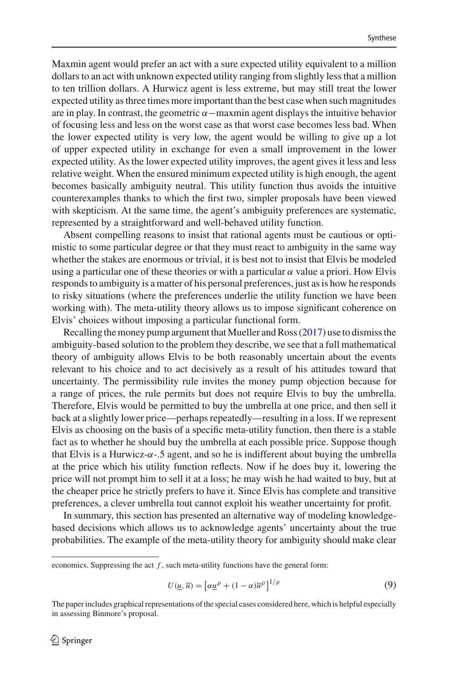Maxmin agent would prefer an act with a sure expected utility equivalent to a million dollars to an act with unknown expected utility ranging from slightly less that a million to ten trillion dollars. A Hurwicz agent is less extreme, but may still treat the lower expected utility as three times more important than the best case when such magnitudes are in play. In contrast, the geometric  $\alpha$  –maxmin agent displays the intuitive behavior of focusing less and less on the worst case as that worst case becomes less bad. When the lower expected utility is very low, the agent would be willing to give up a lot of upper expected utility in exchange for even a small improvement in the lower expected utility. As the lower expected utility improves, the agent gives it less and less relative weight. When the ensured minimum expected utility is high enough, the agent becomes basically ambiguity neutral. This utility function thus avoids the intuitive counterexamples thanks to which the first two, simpler proposals have been viewed with skepticism. At the same time, the agent's ambiguity preferences are systematic, represented by a straightforward and well-behaved utility function.

Absent compelling reasons to insist that rational agents must be cautious or optimistic to some particular degree or that they must react to ambiguity in the same way whether the stakes are enormous or trivial, it is best not to insist that Elvis be modeled using a particular one of these theories or with a particular  $\alpha$  value a priori. How Elvis responds to ambiguity is a matter of his personal preferences, just as is how he responds to risky situations (where the preferences underlie the utility function we have been working with). The meta-utility theory allows us to impose significant coherence on Elvis' choices without imposing a particular functional form.

Recalling the money pump argument that Mueller and Ross  $(2017)$  use to dismiss the ambiguity-based solution to the problem they describe, we see that a full mathematical theory of ambiguity allows Elvis to be both reasonably uncertain about the events relevant to his choice and to act decisively as a result of his attitudes toward that uncertainty. The permissibility rule invites the money pump objection because for a range of prices, the rule permits but does not require Elvis to buy the umbrella. Therefore, Elvis would be permitted to buy the umbrella at one price, and then sell it back at a slightly lower price—perhaps repeatedly—resulting in a loss. If we represent Elvis as choosing on the basis of a specific meta-utility function, then there is a stable fact as to whether he should buy the umbrella at each possible price. Suppose though that Elvis is a Hurwicz- $\alpha$ -.5 agent, and so he is indifferent about buying the umbrella at the price which his utility function reflects. Now if he does buy it, lowering the price will not prompt him to sell it at a loss; he may wish he had waited to buy, but at the cheaper price he strictly prefers to have it. Since Elvis has complete and transitive preferences, a clever umbrella tout cannot exploit his weather uncertainty for profit.

In summary, this section has presented an alternative way of modeling knowledgebased decisions which allows us to acknowledge agents' uncertainty about the true probabilities. The example of the meta-utility theory for ambiguity should make clear

$$
U(\underline{u}, \overline{u}) = \left[\alpha \underline{u}^{\rho} + (1 - \alpha)\overline{u}^{\rho}\right]^{1/\rho} \tag{9}
$$

economics. Suppressing the act  $f$ , such meta-utility functions have the general form:

The paper includes graphical representations of the special cases considered here, which is helpful especially in assessing Binmore's proposal.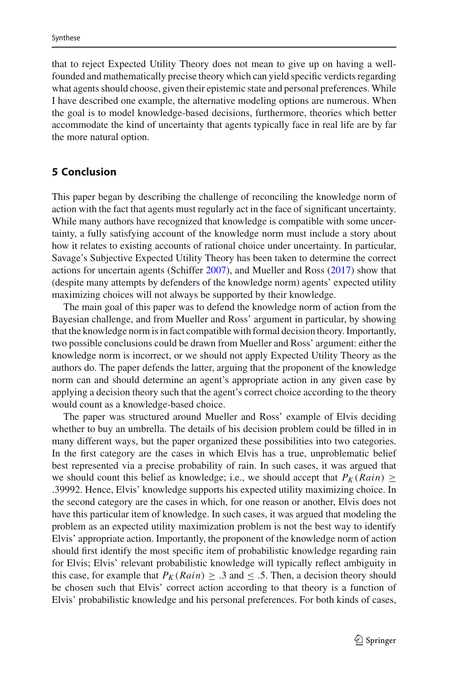that to reject Expected Utility Theory does not mean to give up on having a wellfounded and mathematically precise theory which can yield specific verdicts regarding what agents should choose, given their epistemic state and personal preferences. While I have described one example, the alternative modeling options are numerous. When the goal is to model knowledge-based decisions, furthermore, theories which better accommodate the kind of uncertainty that agents typically face in real life are by far the more natural option.

## <span id="page-24-0"></span>**5 Conclusion**

This paper began by describing the challenge of reconciling the knowledge norm of action with the fact that agents must regularly act in the face of significant uncertainty. While many authors have recognized that knowledge is compatible with some uncertainty, a fully satisfying account of the knowledge norm must include a story about how it relates to existing accounts of rational choice under uncertainty. In particular, Savage's Subjective Expected Utility Theory has been taken to determine the correct actions for uncertain agents (Schiffe[r](#page-29-2) [2007\)](#page-29-2), and Mueller and Ross [\(2017\)](#page-29-5) show that (despite many attempts by defenders of the knowledge norm) agents' expected utility maximizing choices will not always be supported by their knowledge.

The main goal of this paper was to defend the knowledge norm of action from the Bayesian challenge, and from Mueller and Ross' argument in particular, by showing that the knowledge norm is in fact compatible with formal decision theory. Importantly, two possible conclusions could be drawn from Mueller and Ross' argument: either the knowledge norm is incorrect, or we should not apply Expected Utility Theory as the authors do. The paper defends the latter, arguing that the proponent of the knowledge norm can and should determine an agent's appropriate action in any given case by applying a decision theory such that the agent's correct choice according to the theory would count as a knowledge-based choice.

The paper was structured around Mueller and Ross' example of Elvis deciding whether to buy an umbrella. The details of his decision problem could be filled in in many different ways, but the paper organized these possibilities into two categories. In the first category are the cases in which Elvis has a true, unproblematic belief best represented via a precise probability of rain. In such cases, it was argued that we should count this belief as knowledge; i.e., we should accept that  $P_K(Rain) \geq$ .39992. Hence, Elvis' knowledge supports his expected utility maximizing choice. In the second category are the cases in which, for one reason or another, Elvis does not have this particular item of knowledge. In such cases, it was argued that modeling the problem as an expected utility maximization problem is not the best way to identify Elvis' appropriate action. Importantly, the proponent of the knowledge norm of action should first identify the most specific item of probabilistic knowledge regarding rain for Elvis; Elvis' relevant probabilistic knowledge will typically reflect ambiguity in this case, for example that  $P_K(Rain) \geq .3$  and  $\leq .5$ . Then, a decision theory should be chosen such that Elvis' correct action according to that theory is a function of Elvis' probabilistic knowledge and his personal preferences. For both kinds of cases,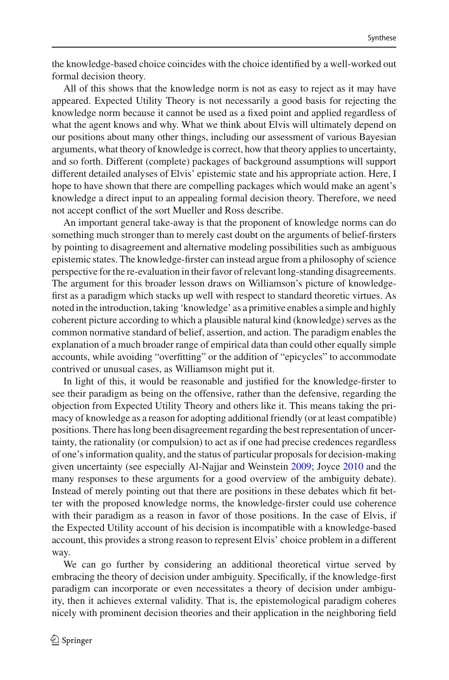the knowledge-based choice coincides with the choice identified by a well-worked out formal decision theory.

All of this shows that the knowledge norm is not as easy to reject as it may have appeared. Expected Utility Theory is not necessarily a good basis for rejecting the knowledge norm because it cannot be used as a fixed point and applied regardless of what the agent knows and why. What we think about Elvis will ultimately depend on our positions about many other things, including our assessment of various Bayesian arguments, what theory of knowledge is correct, how that theory applies to uncertainty, and so forth. Different (complete) packages of background assumptions will support different detailed analyses of Elvis' epistemic state and his appropriate action. Here, I hope to have shown that there are compelling packages which would make an agent's knowledge a direct input to an appealing formal decision theory. Therefore, we need not accept conflict of the sort Mueller and Ross describe.

An important general take-away is that the proponent of knowledge norms can do something much stronger than to merely cast doubt on the arguments of belief-firsters by pointing to disagreement and alternative modeling possibilities such as ambiguous epistemic states. The knowledge-firster can instead argue from a philosophy of science perspective for the re-evaluation in their favor of relevant long-standing disagreements. The argument for this broader lesson draws on Williamson's picture of knowledgefirst as a paradigm which stacks up well with respect to standard theoretic virtues. As noted in the introduction, taking 'knowledge' as a primitive enables a simple and highly coherent picture according to which a plausible natural kind (knowledge) serves as the common normative standard of belief, assertion, and action. The paradigm enables the explanation of a much broader range of empirical data than could other equally simple accounts, while avoiding "overfitting" or the addition of "epicycles" to accommodate contrived or unusual cases, as Williamson might put it.

In light of this, it would be reasonable and justified for the knowledge-firster to see their paradigm as being on the offensive, rather than the defensive, regarding the objection from Expected Utility Theory and others like it. This means taking the primacy of knowledge as a reason for adopting additional friendly (or at least compatible) positions. There has long been disagreement regarding the best representation of uncertainty, the rationality (or compulsion) to act as if one had precise credences regardless of one's information quality, and the status of particular proposals for decision-making given uncertainty (see especially Al-Najjar and Weinstei[n](#page-27-4) [2009;](#page-27-4) Joyc[e](#page-28-18) [2010](#page-28-18) and the many responses to these arguments for a good overview of the ambiguity debate). Instead of merely pointing out that there are positions in these debates which fit better with the proposed knowledge norms, the knowledge-firster could use coherence with their paradigm as a reason in favor of those positions. In the case of Elvis, if the Expected Utility account of his decision is incompatible with a knowledge-based account, this provides a strong reason to represent Elvis' choice problem in a different way.

We can go further by considering an additional theoretical virtue served by embracing the theory of decision under ambiguity. Specifically, if the knowledge-first paradigm can incorporate or even necessitates a theory of decision under ambiguity, then it achieves external validity. That is, the epistemological paradigm coheres nicely with prominent decision theories and their application in the neighboring field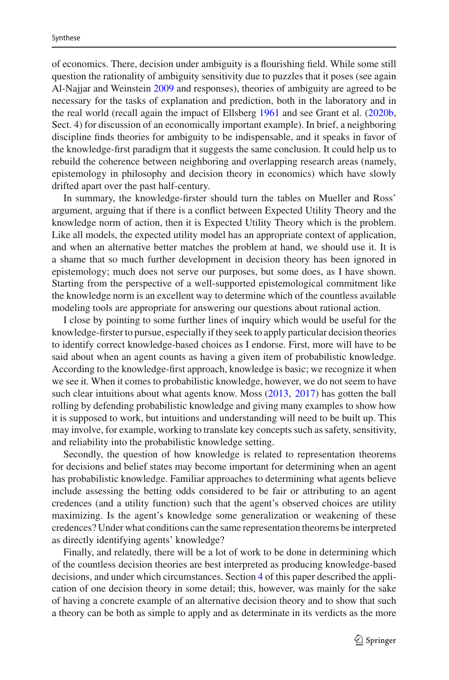of economics. There, decision under ambiguity is a flourishing field. While some still question the rationality of ambiguity sensitivity due to puzzles that it poses (see again Al-Najjar and Weinstei[n](#page-27-4) [2009](#page-27-4) and responses), theories of ambiguity are agreed to be necessary for the tasks of explanation and prediction, both in the laboratory and in the real world (recall again the impact of Ellsber[g](#page-28-7) [1961](#page-28-7) and see Grant et al. [\(2020b,](#page-28-33) Sect. 4) for discussion of an economically important example). In brief, a neighboring discipline finds theories for ambiguity to be indispensable, and it speaks in favor of the knowledge-first paradigm that it suggests the same conclusion. It could help us to rebuild the coherence between neighboring and overlapping research areas (namely, epistemology in philosophy and decision theory in economics) which have slowly drifted apart over the past half-century.

In summary, the knowledge-firster should turn the tables on Mueller and Ross' argument, arguing that if there is a conflict between Expected Utility Theory and the knowledge norm of action, then it is Expected Utility Theory which is the problem. Like all models, the expected utility model has an appropriate context of application, and when an alternative better matches the problem at hand, we should use it. It is a shame that so much further development in decision theory has been ignored in epistemology; much does not serve our purposes, but some does, as I have shown. Starting from the perspective of a well-supported epistemological commitment like the knowledge norm is an excellent way to determine which of the countless available modeling tools are appropriate for answering our questions about rational action.

I close by pointing to some further lines of inquiry which would be useful for the knowledge-firster to pursue, especially if they seek to apply particular decision theories to identify correct knowledge-based choices as I endorse. First, more will have to be said about when an agent counts as having a given item of probabilistic knowledge. According to the knowledge-first approach, knowledge is basic; we recognize it when we see it. When it comes to probabilistic knowledge, however, we do not seem to have such clear intuitions about what agents know. Mos[s](#page-28-2) [\(2013,](#page-28-2) [2017\)](#page-28-3) has gotten the ball rolling by defending probabilistic knowledge and giving many examples to show how it is supposed to work, but intuitions and understanding will need to be built up. This may involve, for example, working to translate key concepts such as safety, sensitivity, and reliability into the probabilistic knowledge setting.

Secondly, the question of how knowledge is related to representation theorems for decisions and belief states may become important for determining when an agent has probabilistic knowledge. Familiar approaches to determining what agents believe include assessing the betting odds considered to be fair or attributing to an agent credences (and a utility function) such that the agent's observed choices are utility maximizing. Is the agent's knowledge some generalization or weakening of these credences? Under what conditions can the same representation theorems be interpreted as directly identifying agents' knowledge?

Finally, and relatedly, there will be a lot of work to be done in determining which of the countless decision theories are best interpreted as producing knowledge-based decisions, and under which circumstances. Section [4](#page-16-0) of this paper described the application of one decision theory in some detail; this, however, was mainly for the sake of having a concrete example of an alternative decision theory and to show that such a theory can be both as simple to apply and as determinate in its verdicts as the more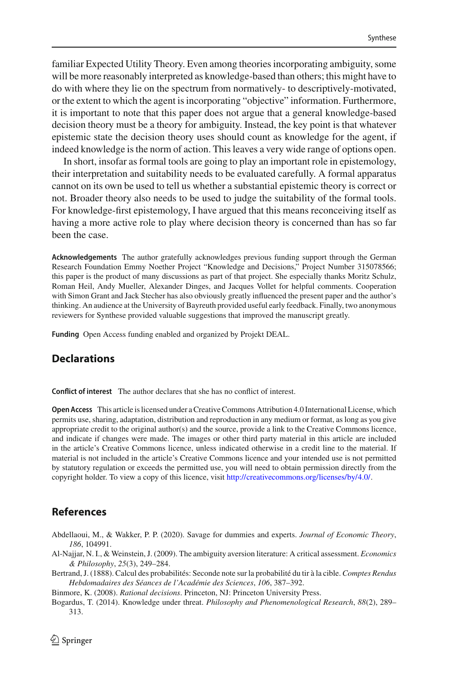familiar Expected Utility Theory. Even among theories incorporating ambiguity, some will be more reasonably interpreted as knowledge-based than others; this might have to do with where they lie on the spectrum from normatively- to descriptively-motivated, or the extent to which the agent is incorporating "objective" information. Furthermore, it is important to note that this paper does not argue that a general knowledge-based decision theory must be a theory for ambiguity. Instead, the key point is that whatever epistemic state the decision theory uses should count as knowledge for the agent, if indeed knowledge is the norm of action. This leaves a very wide range of options open.

In short, insofar as formal tools are going to play an important role in epistemology, their interpretation and suitability needs to be evaluated carefully. A formal apparatus cannot on its own be used to tell us whether a substantial epistemic theory is correct or not. Broader theory also needs to be used to judge the suitability of the formal tools. For knowledge-first epistemology, I have argued that this means reconceiving itself as having a more active role to play where decision theory is concerned than has so far been the case.

**Acknowledgements** The author gratefully acknowledges previous funding support through the German Research Foundation Emmy Noether Project "Knowledge and Decisions," Project Number 315078566; this paper is the product of many discussions as part of that project. She especially thanks Moritz Schulz, Roman Heil, Andy Mueller, Alexander Dinges, and Jacques Vollet for helpful comments. Cooperation with Simon Grant and Jack Stecher has also obviously greatly influenced the present paper and the author's thinking. An audience at the University of Bayreuth provided useful early feedback. Finally, two anonymous reviewers for Synthese provided valuable suggestions that improved the manuscript greatly.

**Funding** Open Access funding enabled and organized by Projekt DEAL.

## **Declarations**

**Conflict of interest** The author declares that she has no conflict of interest.

**Open Access** This article is licensed under a Creative Commons Attribution 4.0 International License, which permits use, sharing, adaptation, distribution and reproduction in any medium or format, as long as you give appropriate credit to the original author(s) and the source, provide a link to the Creative Commons licence, and indicate if changes were made. The images or other third party material in this article are included in the article's Creative Commons licence, unless indicated otherwise in a credit line to the material. If material is not included in the article's Creative Commons licence and your intended use is not permitted by statutory regulation or exceeds the permitted use, you will need to obtain permission directly from the copyright holder. To view a copy of this licence, visit [http://creativecommons.org/licenses/by/4.0/.](http://creativecommons.org/licenses/by/4.0/)

## **References**

- <span id="page-27-3"></span>Abdellaoui, M., & Wakker, P. P. (2020). Savage for dummies and experts. *Journal of Economic Theory*, *186*, 104991.
- <span id="page-27-4"></span>Al-Najjar, N. I., & Weinstein, J. (2009). The ambiguity aversion literature: A critical assessment. *Economics & Philosophy*, *25*(3), 249–284.
- <span id="page-27-1"></span>Bertrand, J. (1888). Calcul des probabilités: Seconde note sur la probabilité du tir à la cible. *Comptes Rendus Hebdomadaires des Séances de l'Académie des Sciences*, *106*, 387–392.
- <span id="page-27-0"></span>Binmore, K. (2008). *Rational decisions*. Princeton, NJ: Princeton University Press.
- <span id="page-27-2"></span>Bogardus, T. (2014). Knowledge under threat. *Philosophy and Phenomenological Research*, *88*(2), 289– 313.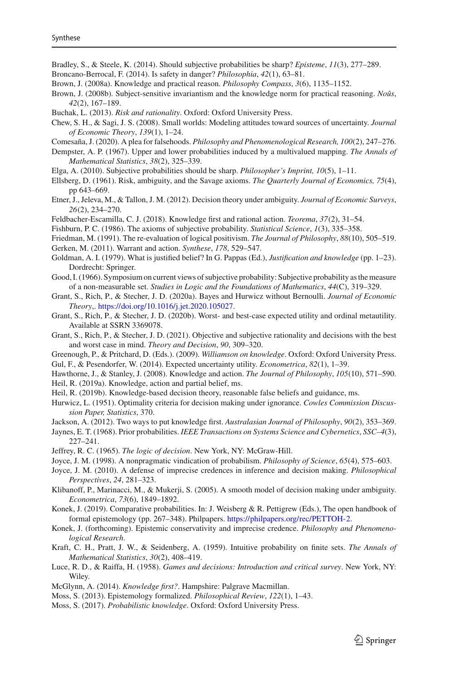<span id="page-28-19"></span>Bradley, S., & Steele, K. (2014). Should subjective probabilities be sharp? *Episteme*, *11*(3), 277–289.

<span id="page-28-22"></span>Broncano-Berrocal, F. (2014). Is safety in danger? *Philosophia*, *42*(1), 63–81.

<span id="page-28-23"></span>Brown, J. (2008a). Knowledge and practical reason. *Philosophy Compass*, *3*(6), 1135–1152.

<span id="page-28-24"></span>Brown, J. (2008b). Subject-sensitive invariantism and the knowledge norm for practical reasoning. *Noûs*, *42*(2), 167–189.

<span id="page-28-8"></span>Buchak, L. (2013). *Risk and rationality*. Oxford: Oxford University Press.

<span id="page-28-6"></span>Chew, S. H., & Sagi, J. S. (2008). Small worlds: Modeling attitudes toward sources of uncertainty. *Journal of Economic Theory*, *139*(1), 1–24.

- <span id="page-28-26"></span>Comesaña, J. (2020). A plea for falsehoods. *Philosophy and Phenomenological Research, 100*(2), 247–276.
- <span id="page-28-28"></span>Dempster, A. P. (1967). Upper and lower probabilities induced by a multivalued mapping. *The Annals of Mathematical Statistics*, *38*(2), 325–339.
- <span id="page-28-17"></span>Elga, A. (2010). Subjective probabilities should be sharp. *Philosopher's Imprint, 10*(5), 1–11.
- <span id="page-28-7"></span>Ellsberg, D. (1961). Risk, ambiguity, and the Savage axioms. *The Quarterly Journal of Economics, 75*(4), pp 643–669.
- <span id="page-28-29"></span>Etner, J., Jeleva, M., & Tallon, J. M. (2012). Decision theory under ambiguity. *Journal of Economic Surveys*, *26*(2), 234–270.
- <span id="page-28-9"></span>Feldbacher-Escamilla, C. J. (2018). Knowledge first and rational action. *Teorema*, *37*(2), 31–54.
- <span id="page-28-13"></span>Fishburn, P. C. (1986). The axioms of subjective probability. *Statistical Science*, *1*(3), 335–358.

<span id="page-28-12"></span>Friedman, M. (1991). The re-evaluation of logical positivism. *The Journal of Philosophy*, *88*(10), 505–519. Gerken, M. (2011). Warrant and action. *Synthese*, *178*, 529–547.

- <span id="page-28-25"></span><span id="page-28-21"></span>Goldman, A. I. (1979). What is justified belief? In G. Pappas (Ed.), *Justification and knowledge* (pp. 1–23). Dordrecht: Springer.
- <span id="page-28-36"></span>Good, I. (1966). Symposium on current views of subjective probability: Subjective probability as the measure of a non-measurable set. *Studies in Logic and the Foundations of Mathematics*, *44*(C), 319–329.
- <span id="page-28-31"></span>Grant, S., Rich, P., & Stecher, J. D. (2020a). Bayes and Hurwicz without Bernoulli. *Journal of Economic Theory*,. [https://doi.org/10.1016/j.jet.2020.105027.](https://doi.org/10.1016/j.jet.2020.105027)
- <span id="page-28-33"></span>Grant, S., Rich, P., & Stecher, J. D. (2020b). Worst- and best-case expected utility and ordinal metautility. Available at SSRN 3369078.
- <span id="page-28-32"></span>Grant, S., Rich, P., & Stecher, J. D. (2021). Objective and subjective rationality and decisions with the best and worst case in mind. *Theory and Decision*, *90*, 309–320.
- <span id="page-28-35"></span><span id="page-28-0"></span>Greenough, P., & Pritchard, D. (Eds.). (2009). *Williamson on knowledge*. Oxford: Oxford University Press. Gul, F., & Pesendorfer, W. (2014). Expected uncertainty utility. *Econometrica*, *82*(1), 1–39.
- <span id="page-28-30"></span><span id="page-28-4"></span>Hawthorne, J., & Stanley, J. (2008). Knowledge and action. *The Journal of Philosophy*, *105*(10), 571–590. Heil, R. (2019a). Knowledge, action and partial belief, ms.
- <span id="page-28-27"></span>Heil, R. (2019b). Knowledge-based decision theory, reasonable false beliefs and guidance, ms.
- <span id="page-28-38"></span>Hurwicz, L. (1951). Optimality criteria for decision making under ignorance. *Cowles Commission Discussion Paper, Statistics*, 370.
- <span id="page-28-5"></span>Jackson, A. (2012). Two ways to put knowledge first. *Australasian Journal of Philosophy*, *90*(2), 353–369.
- <span id="page-28-11"></span>Jaynes, E. T. (1968). Prior probabilities. *IEEE Transactions on Systems Science and Cybernetics*, *SSC–4*(3), 227–241.
- <span id="page-28-10"></span>Jeffrey, R. C. (1965). *The logic of decision*. New York, NY: McGraw-Hill.
- <span id="page-28-14"></span>Joyce, J. M. (1998). A nonpragmatic vindication of probabilism. *Philosophy of Science*, *65*(4), 575–603.
- <span id="page-28-18"></span>Joyce, J. M. (2010). A defense of imprecise credences in inference and decision making. *Philosophical Perspectives*, *24*, 281–323.
- <span id="page-28-34"></span>Klibanoff, P., Marinacci, M., & Mukerji, S. (2005). A smooth model of decision making under ambiguity. *Econometrica*, *73*(6), 1849–1892.
- <span id="page-28-16"></span>Konek, J. (2019). Comparative probabilities. In: J. Weisberg & R. Pettigrew (Eds.), The open handbook of formal epistemology (pp. 267–348). Philpapers. [https://philpapers.org/rec/PETTOH-2.](https://philpapers.org/rec/PETTOH-2)
- <span id="page-28-20"></span>Konek, J. (forthcoming). Epistemic conservativity and imprecise credence. *Philosophy and Phenomenological Research*.
- <span id="page-28-15"></span>Kraft, C. H., Pratt, J. W., & Seidenberg, A. (1959). Intuitive probability on finite sets. *The Annals of Mathematical Statistics*, *30*(2), 408–419.
- <span id="page-28-37"></span>Luce, R. D., & Raiffa, H. (1958). *Games and decisions: Introduction and critical survey*. New York, NY: Wiley.
- <span id="page-28-1"></span>McGlynn, A. (2014). *Knowledge first?*. Hampshire: Palgrave Macmillan.
- <span id="page-28-2"></span>Moss, S. (2013). Epistemology formalized. *Philosophical Review*, *122*(1), 1–43.
- <span id="page-28-3"></span>Moss, S. (2017). *Probabilistic knowledge*. Oxford: Oxford University Press.